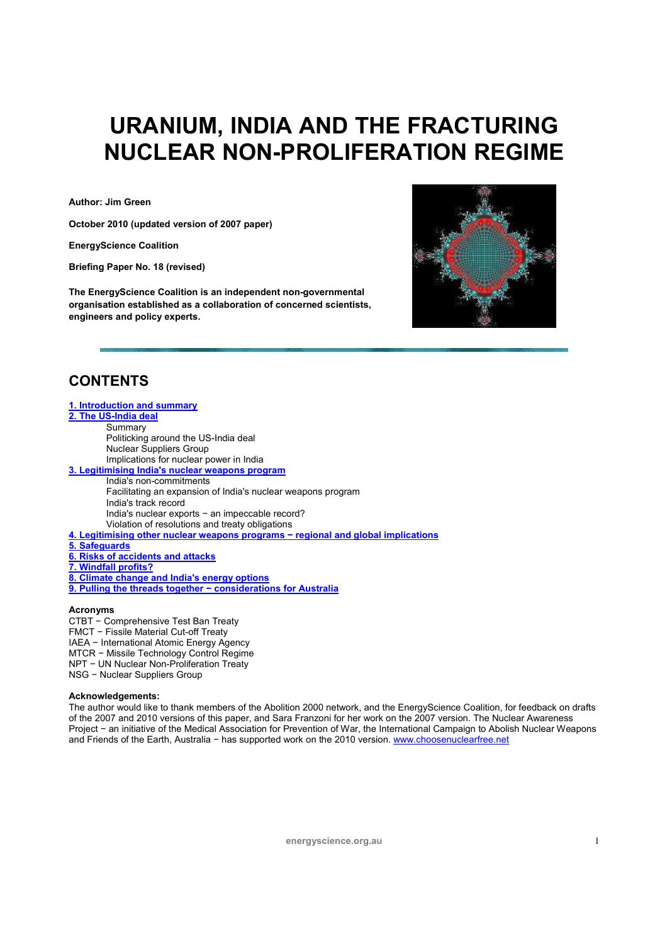# **URANIUM, INDIA AND THE FRACTURING NUCLEAR NON-PROLIFERATION REGIME**

**Author: Jim Green** 

**October 2010 (updated version of 2007 paper)** 

**EnergyScience Coalition** 

**Briefing Paper No. 18 (revised)** 

**The EnergyScience Coalition is an independent non-governmental organisation established as a collaboration of concerned scientists, engineers and policy experts.** 



# **CONTENTS**

| 1. Introduction and summary                                                       |
|-----------------------------------------------------------------------------------|
| 2. The US-India deal                                                              |
| Summary                                                                           |
| Politicking around the US-India deal                                              |
| <b>Nuclear Suppliers Group</b>                                                    |
| Implications for nuclear power in India                                           |
| 3. Legitimising India's nuclear weapons program                                   |
| India's non-commitments                                                           |
| Facilitating an expansion of India's nuclear weapons program                      |
| India's track record                                                              |
| India's nuclear exports - an impeccable record?                                   |
| Violation of resolutions and treaty obligations                                   |
| 4. Legitimising other nuclear weapons programs - regional and global implications |
| 5. Safeguards                                                                     |
| 6. Risks of accidents and attacks                                                 |
| 7. Windfall profits?                                                              |
| 8. Climate change and India's energy options                                      |
| 9. Pulling the threads together - considerations for Australia                    |
|                                                                                   |

### **Acronyms**

CTBT − Comprehensive Test Ban Treaty FMCT − Fissile Material Cut-off Treaty IAEA − International Atomic Energy Agency MTCR − Missile Technology Control Regime NPT − UN Nuclear Non-Proliferation Treaty NSG − Nuclear Suppliers Group

### **Acknowledgements:**

The author would like to thank members of the Abolition 2000 network, and the EnergyScience Coalition, for feedback on drafts of the 2007 and 2010 versions of this paper, and Sara Franzoni for her work on the 2007 version. The Nuclear Awareness Project − an initiative of the Medical Association for Prevention of War, the International Campaign to Abolish Nuclear Weapons and Friends of the Earth, Australia − has supported work on the 2010 version. www.choosenuclearfree.net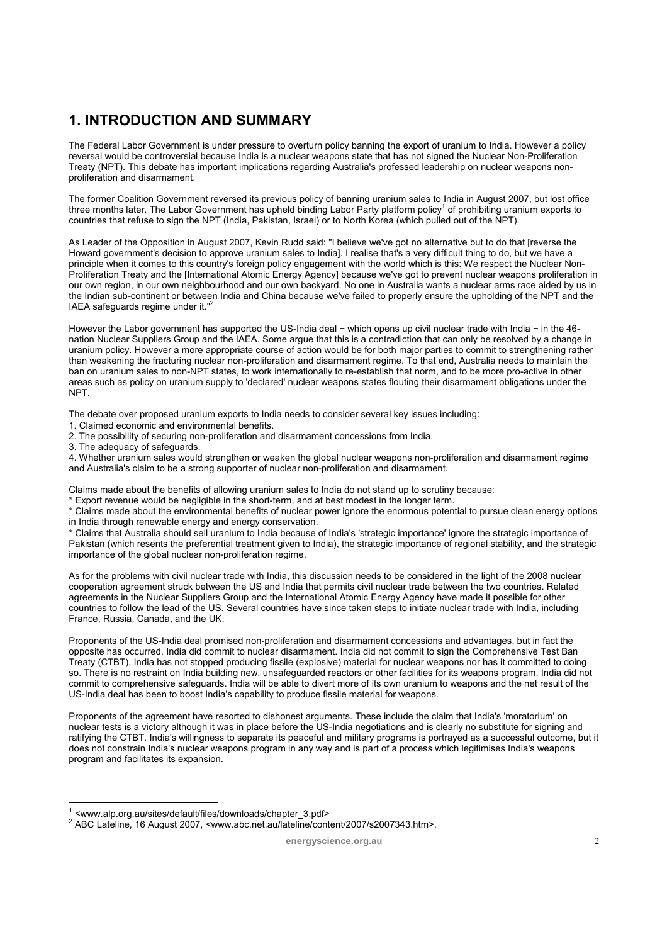# **1. INTRODUCTION AND SUMMARY**

The Federal Labor Government is under pressure to overturn policy banning the export of uranium to India. However a policy reversal would be controversial because India is a nuclear weapons state that has not signed the Nuclear Non-Proliferation Treaty (NPT). This debate has important implications regarding Australia's professed leadership on nuclear weapons nonproliferation and disarmament.

The former Coalition Government reversed its previous policy of banning uranium sales to India in August 2007, but lost office three months later. The Labor Government has upheld binding Labor Party platform policy<sup>1</sup> of prohibiting uranium exports to countries that refuse to sign the NPT (India, Pakistan, Israel) or to North Korea (which pulled out of the NPT).

As Leader of the Opposition in August 2007, Kevin Rudd said: "I believe we've got no alternative but to do that [reverse the Howard government's decision to approve uranium sales to India]. I realise that's a very difficult thing to do, but we have a principle when it comes to this country's foreign policy engagement with the world which is this: We respect the Nuclear Non-Proliferation Treaty and the [International Atomic Energy Agency] because we've got to prevent nuclear weapons proliferation in our own region, in our own neighbourhood and our own backyard. No one in Australia wants a nuclear arms race aided by us in the Indian sub-continent or between India and China because we've failed to properly ensure the upholding of the NPT and the IAEA safeguards regime under it."<sup>2</sup>

However the Labor government has supported the US-India deal − which opens up civil nuclear trade with India − in the 46 nation Nuclear Suppliers Group and the IAEA. Some argue that this is a contradiction that can only be resolved by a change in uranium policy. However a more appropriate course of action would be for both major parties to commit to strengthening rather than weakening the fracturing nuclear non-proliferation and disarmament regime. To that end, Australia needs to maintain the ban on uranium sales to non-NPT states, to work internationally to re-establish that norm, and to be more pro-active in other areas such as policy on uranium supply to 'declared' nuclear weapons states flouting their disarmament obligations under the NPT.

The debate over proposed uranium exports to India needs to consider several key issues including:

1. Claimed economic and environmental benefits.

2. The possibility of securing non-proliferation and disarmament concessions from India.

3. The adequacy of safeguards.

4. Whether uranium sales would strengthen or weaken the global nuclear weapons non-proliferation and disarmament regime and Australia's claim to be a strong supporter of nuclear non-proliferation and disarmament.

Claims made about the benefits of allowing uranium sales to India do not stand up to scrutiny because:

\* Export revenue would be negligible in the short-term, and at best modest in the longer term.

\* Claims made about the environmental benefits of nuclear power ignore the enormous potential to pursue clean energy options in India through renewable energy and energy conservation.

\* Claims that Australia should sell uranium to India because of India's 'strategic importance' ignore the strategic importance of Pakistan (which resents the preferential treatment given to India), the strategic importance of regional stability, and the strategic importance of the global nuclear non-proliferation regime.

As for the problems with civil nuclear trade with India, this discussion needs to be considered in the light of the 2008 nuclear cooperation agreement struck between the US and India that permits civil nuclear trade between the two countries. Related agreements in the Nuclear Suppliers Group and the International Atomic Energy Agency have made it possible for other countries to follow the lead of the US. Several countries have since taken steps to initiate nuclear trade with India, including France, Russia, Canada, and the UK.

Proponents of the US-India deal promised non-proliferation and disarmament concessions and advantages, but in fact the opposite has occurred. India did commit to nuclear disarmament. India did not commit to sign the Comprehensive Test Ban Treaty (CTBT). India has not stopped producing fissile (explosive) material for nuclear weapons nor has it committed to doing so. There is no restraint on India building new, unsafeguarded reactors or other facilities for its weapons program. India did not commit to comprehensive safeguards. India will be able to divert more of its own uranium to weapons and the net result of the US-India deal has been to boost India's capability to produce fissile material for weapons.

Proponents of the agreement have resorted to dishonest arguments. These include the claim that India's 'moratorium' on nuclear tests is a victory although it was in place before the US-India negotiations and is clearly no substitute for signing and ratifying the CTBT. India's willingness to separate its peaceful and military programs is portrayed as a successful outcome, but it does not constrain India's nuclear weapons program in any way and is part of a process which legitimises India's weapons program and facilitates its expansion.

 $\overline{a}$ 1 <www.alp.org.au/sites/default/files/downloads/chapter\_3.pdf> 2

<sup>&</sup>lt;sup>2</sup> ABC Lateline, 16 August 2007, <www.abc.net.au/lateline/content/2007/s2007343.htm>.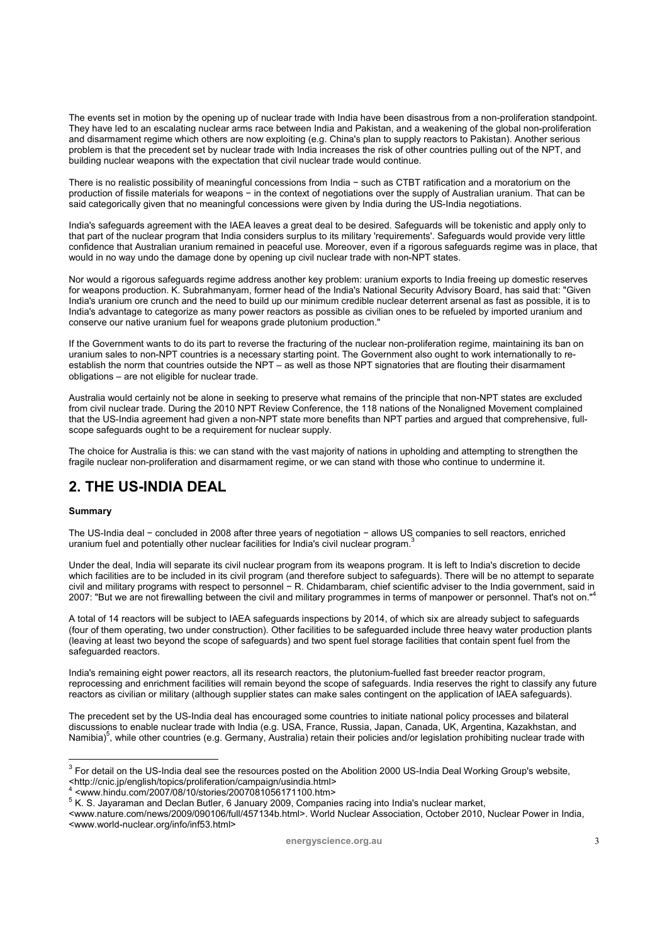The events set in motion by the opening up of nuclear trade with India have been disastrous from a non-proliferation standpoint. They have led to an escalating nuclear arms race between India and Pakistan, and a weakening of the global non-proliferation and disarmament regime which others are now exploiting (e.g. China's plan to supply reactors to Pakistan). Another serious problem is that the precedent set by nuclear trade with India increases the risk of other countries pulling out of the NPT, and building nuclear weapons with the expectation that civil nuclear trade would continue.

There is no realistic possibility of meaningful concessions from India − such as CTBT ratification and a moratorium on the production of fissile materials for weapons − in the context of negotiations over the supply of Australian uranium. That can be said categorically given that no meaningful concessions were given by India during the US-India negotiations.

India's safeguards agreement with the IAEA leaves a great deal to be desired. Safeguards will be tokenistic and apply only to that part of the nuclear program that India considers surplus to its military 'requirements'. Safeguards would provide very little confidence that Australian uranium remained in peaceful use. Moreover, even if a rigorous safeguards regime was in place, that would in no way undo the damage done by opening up civil nuclear trade with non-NPT states.

Nor would a rigorous safeguards regime address another key problem: uranium exports to India freeing up domestic reserves for weapons production. K. Subrahmanyam, former head of the India's National Security Advisory Board, has said that: "Given India's uranium ore crunch and the need to build up our minimum credible nuclear deterrent arsenal as fast as possible, it is to India's advantage to categorize as many power reactors as possible as civilian ones to be refueled by imported uranium and conserve our native uranium fuel for weapons grade plutonium production."

If the Government wants to do its part to reverse the fracturing of the nuclear non-proliferation regime, maintaining its ban on uranium sales to non-NPT countries is a necessary starting point. The Government also ought to work internationally to reestablish the norm that countries outside the NPT – as well as those NPT signatories that are flouting their disarmament obligations – are not eligible for nuclear trade.

Australia would certainly not be alone in seeking to preserve what remains of the principle that non-NPT states are excluded from civil nuclear trade. During the 2010 NPT Review Conference, the 118 nations of the Nonaligned Movement complained that the US-India agreement had given a non-NPT state more benefits than NPT parties and argued that comprehensive, fullscope safeguards ought to be a requirement for nuclear supply.

The choice for Australia is this: we can stand with the vast majority of nations in upholding and attempting to strengthen the fragile nuclear non-proliferation and disarmament regime, or we can stand with those who continue to undermine it.

# **2. THE US-INDIA DEAL**

### **Summary**

The US-India deal − concluded in 2008 after three years of negotiation − allows US companies to sell reactors, enriched uranium fuel and potentially other nuclear facilities for India's civil nuclear program.

Under the deal, India will separate its civil nuclear program from its weapons program. It is left to India's discretion to decide which facilities are to be included in its civil program (and therefore subject to safeguards). There will be no attempt to separate milion restance and to be an extra milion in the connel – R. Chidambaram, chief scientific adviser to the India government, said in 2007: "But we are not firewalling between the civil and military programmes in terms of manpower or personnel. That's not on."4

A total of 14 reactors will be subject to IAEA safeguards inspections by 2014, of which six are already subject to safeguards (four of them operating, two under construction). Other facilities to be safeguarded include three heavy water production plants (leaving at least two beyond the scope of safeguards) and two spent fuel storage facilities that contain spent fuel from the safeguarded reactors.

India's remaining eight power reactors, all its research reactors, the plutonium-fuelled fast breeder reactor program, reprocessing and enrichment facilities will remain beyond the scope of safeguards. India reserves the right to classify any future reactors as civilian or military (although supplier states can make sales contingent on the application of IAEA safeguards).

The precedent set by the US-India deal has encouraged some countries to initiate national policy processes and bilateral discussions to enable nuclear trade with India (e.g. USA, France, Russia, Japan, Canada, UK, Argentina, Kazakhstan, and Namibia)<sup>5</sup>, while other countries (e.g. Germany, Australia) retain their policies and/or legislation prohibiting nuclear trade with

<www.nature.com/news/2009/090106/full/457134b.html>. World Nuclear Association, October 2010, Nuclear Power in India, <www.world-nuclear.org/info/inf53.html>

 3 For detail on the US-India deal see the resources posted on the Abolition 2000 US-India Deal Working Group's website, <http://cnic.jp/english/topics/proliferation/campaign/usindia.html> 4

 <sup>&</sup>lt;www.hindu.com/2007/08/10/stories/2007081056171100.htm> 5

K. S. Jayaraman and Declan Butler, 6 January 2009, Companies racing into India's nuclear market,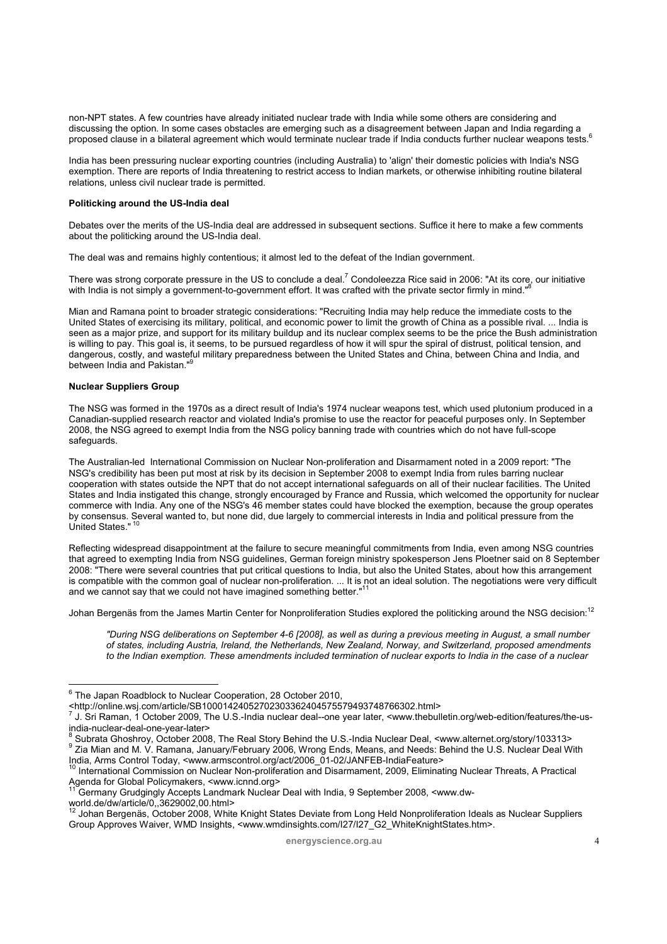non-NPT states. A few countries have already initiated nuclear trade with India while some others are considering and discussing the option. In some cases obstacles are emerging such as a disagreement between Japan and India regarding a proposed clause in a bilateral agreement which would terminate nuclear trade if India conducts further nuclear weapons tests.6

India has been pressuring nuclear exporting countries (including Australia) to 'align' their domestic policies with India's NSG exemption. There are reports of India threatening to restrict access to Indian markets, or otherwise inhibiting routine bilateral relations, unless civil nuclear trade is permitted.

#### **Politicking around the US-India deal**

Debates over the merits of the US-India deal are addressed in subsequent sections. Suffice it here to make a few comments about the politicking around the US-India deal.

The deal was and remains highly contentious; it almost led to the defeat of the Indian government.

There was strong corporate pressure in the US to conclude a deal.<sup>7</sup> Condoleezza Rice said in 2006: "At its core, our initiative with India is not simply a government-to-government effort. It was crafted with the private sector firmly in mind."

Mian and Ramana point to broader strategic considerations: "Recruiting India may help reduce the immediate costs to the United States of exercising its military, political, and economic power to limit the growth of China as a possible rival. ... India is seen as a major prize, and support for its military buildup and its nuclear complex seems to be the price the Bush administration is willing to pay. This goal is, it seems, to be pursued regardless of how it will spur the spiral of distrust, political tension, and dangerous, costly, and wasteful military preparedness between the United States and China, between China and India, and between India and Pakistan."

#### **Nuclear Suppliers Group**

The NSG was formed in the 1970s as a direct result of India's 1974 nuclear weapons test, which used plutonium produced in a Canadian-supplied research reactor and violated India's promise to use the reactor for peaceful purposes only. In September 2008, the NSG agreed to exempt India from the NSG policy banning trade with countries which do not have full-scope safeguards.

The Australian-led International Commission on Nuclear Non-proliferation and Disarmament noted in a 2009 report: "The NSG's credibility has been put most at risk by its decision in September 2008 to exempt India from rules barring nuclear cooperation with states outside the NPT that do not accept international safeguards on all of their nuclear facilities. The United States and India instigated this change, strongly encouraged by France and Russia, which welcomed the opportunity for nuclear commerce with India. Any one of the NSG's 46 member states could have blocked the exemption, because the group operates by consensus. Several wanted to, but none did, due largely to commercial interests in India and political pressure from the<br>United States." <sup>10</sup>

Reflecting widespread disappointment at the failure to secure meaningful commitments from India, even among NSG countries that agreed to exempting India from NSG guidelines, German foreign ministry spokesperson Jens Ploetner said on 8 September 2008: "There were several countries that put critical questions to India, but also the United States, about how this arrangement is compatible with the common goal of nuclear non-proliferation. ... It is not an ideal solution. The negotiations were very difficult and we cannot say that we could not have imagined something better."

Johan Bergenäs from the James Martin Center for Nonproliferation Studies explored the politicking around the NSG decision:<sup>12</sup>

*"During NSG deliberations on September 4-6 [2008], as well as during a previous meeting in August, a small number of states, including Austria, Ireland, the Netherlands, New Zealand, Norway, and Switzerland, proposed amendments*  to the Indian exemption. These amendments included termination of nuclear exports to India in the case of a nuclear

<sup>&</sup>lt;u>.</u><br><sup>6</sup> The Japan Roadblock to Nuclear Cooperation, 28 October 2010,

<sup>&</sup>lt;http://online.wsj.com/article/SB10001424052702303362404575579493748766302.html> 7

J. Sri Raman, 1 October 2009, The U.S.-India nuclear deal--one year later, <www.thebulletin.org/web-edition/features/the-usindia-nuclear-deal-one-year-later>

<sup>&</sup>lt;sup>8</sup> Subrata Ghoshroy, October 2008, The Real Story Behind the U.S.-India Nuclear Deal, <www.alternet.org/story/103313><br><sup>9</sup> Zia Mian and M. V. Ramana, January/February 2006, Wrong Ends, Means, and Needs: Behind the U.S. Nuc India, Arms Control Today, <www.armscontrol.org/act/2006\_01-02/JANFEB-IndiaFeature><br><sup>10</sup> International Commission on Nuclear Non-proliferation and Disarmament, 2009, Eliminating Nuclear Threats, A Practical

Agenda for Global Policymakers, <www.icnnd.org>

<sup>11</sup> Germany Grudgingly Accepts Landmark Nuclear Deal with India, 9 September 2008, <www.dwworld.de/dw/article/0,,3629002,00.html>

<sup>&</sup>lt;sup>2</sup> Johan Bergenäs, October 2008, White Knight States Deviate from Long Held Nonproliferation Ideals as Nuclear Suppliers Group Approves Waiver, WMD Insights, <www.wmdinsights.com/I27/I27\_G2\_WhiteKnightStates.htm>.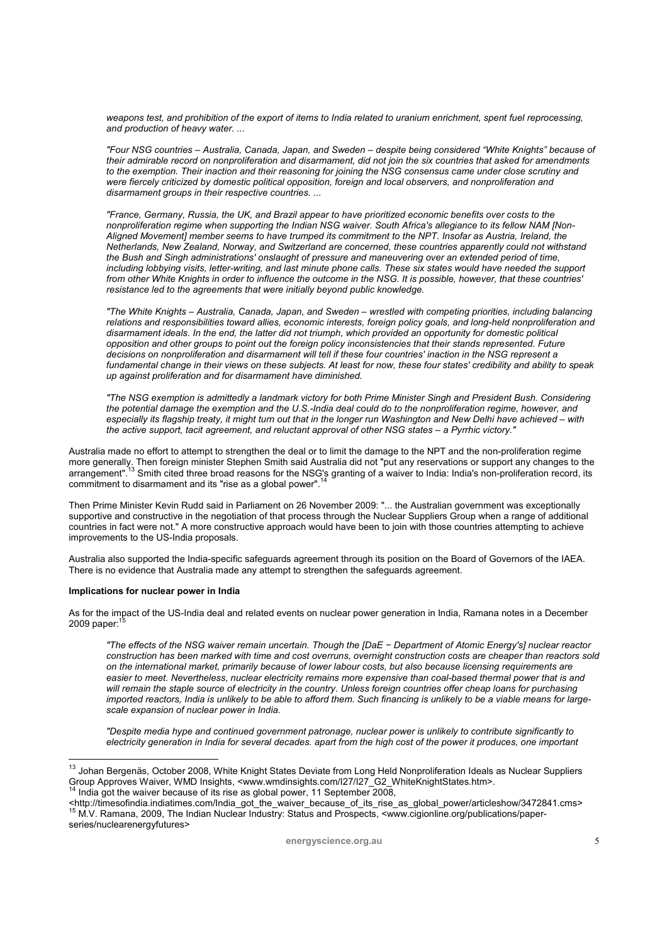*weapons test, and prohibition of the export of items to India related to uranium enrichment, spent fuel reprocessing, and production of heavy water. ...* 

*"Four NSG countries – Australia, Canada, Japan, and Sweden – despite being considered "White Knights" because of their admirable record on nonproliferation and disarmament, did not join the six countries that asked for amendments to the exemption. Their inaction and their reasoning for joining the NSG consensus came under close scrutiny and*  were fiercely criticized by domestic political opposition, foreign and local observers, and nonproliferation and *disarmament groups in their respective countries. ...* 

*"France, Germany, Russia, the UK, and Brazil appear to have prioritized economic benefits over costs to the nonproliferation regime when supporting the Indian NSG waiver. South Africa's allegiance to its fellow NAM [Non-Aligned Movement] member seems to have trumped its commitment to the NPT. Insofar as Austria, Ireland, the Netherlands, New Zealand, Norway, and Switzerland are concerned, these countries apparently could not withstand the Bush and Singh administrations' onslaught of pressure and maneuvering over an extended period of time, including lobbying visits, letter-writing, and last minute phone calls. These six states would have needed the support from other White Knights in order to influence the outcome in the NSG. It is possible, however, that these countries' resistance led to the agreements that were initially beyond public knowledge.* 

*"The White Knights – Australia, Canada, Japan, and Sweden – wrestled with competing priorities, including balancing relations and responsibilities toward allies, economic interests, foreign policy goals, and long-held nonproliferation and disarmament ideals. In the end, the latter did not triumph, which provided an opportunity for domestic political opposition and other groups to point out the foreign policy inconsistencies that their stands represented. Future decisions on nonproliferation and disarmament will tell if these four countries' inaction in the NSG represent a fundamental change in their views on these subjects. At least for now, these four states' credibility and ability to speak up against proliferation and for disarmament have diminished.* 

*"The NSG exemption is admittedly a landmark victory for both Prime Minister Singh and President Bush. Considering the potential damage the exemption and the U.S.-India deal could do to the nonproliferation regime, however, and especially its flagship treaty, it might turn out that in the longer run Washington and New Delhi have achieved – with the active support, tacit agreement, and reluctant approval of other NSG states – a Pyrrhic victory."* 

Australia made no effort to attempt to strengthen the deal or to limit the damage to the NPT and the non-proliferation regime more generally. Then foreign minister Stephen Smith said Australia did not "put any reservations or support any changes to the<br>arrangement".<sup>13</sup> Smith cited three broad reasons for the NSG's granting of a waiver to India: commitment to disarmament and its "rise as a global power".<sup>14</sup>

Then Prime Minister Kevin Rudd said in Parliament on 26 November 2009: "... the Australian government was exceptionally supportive and constructive in the negotiation of that process through the Nuclear Suppliers Group when a range of additional countries in fact were not." A more constructive approach would have been to join with those countries attempting to achieve improvements to the US-India proposals.

Australia also supported the India-specific safeguards agreement through its position on the Board of Governors of the IAEA. There is no evidence that Australia made any attempt to strengthen the safeguards agreement.

#### **Implications for nuclear power in India**

As for the impact of the US-India deal and related events on nuclear power generation in India, Ramana notes in a December 2009 paper: $1$ 

*"The effects of the NSG waiver remain uncertain. Though the [DaE − Department of Atomic Energy's] nuclear reactor construction has been marked with time and cost overruns, overnight construction costs are cheaper than reactors sold on the international market, primarily because of lower labour costs, but also because licensing requirements are*  easier to meet. Nevertheless, nuclear electricity remains more expensive than coal-based thermal power that is and *will remain the staple source of electricity in the country. Unless foreign countries offer cheap loans for purchasing imported reactors, India is unlikely to be able to afford them. Such financing is unlikely to be a viable means for largescale expansion of nuclear power in India.* 

*"Despite media hype and continued government patronage, nuclear power is unlikely to contribute significantly to electricity generation in India for several decades. apart from the high cost of the power it produces, one important* 

 $^{13}$  Johan Bergenäs, October 2008, White Knight States Deviate from Long Held Nonproliferation Ideals as Nuclear Suppliers Group Approves Waiver, WMD Insights, <www.wmdinsights.com/I27/I27\_G2\_WhiteKnightStates.htm>. 14 India got the waiver because of its rise as global power, 11 September 2008,

<sup>&</sup>lt;http://timesofindia.indiatimes.com/India\_got\_the\_waiver\_because\_of\_its\_rise\_as\_global\_power/articleshow/3472841.cms><br><sup>15</sup> M.V. Ramana, 2009, The Indian Nuclear Industry: Status and Prospects, <www.cigionline.org/publicati series/nuclearenergyfutures>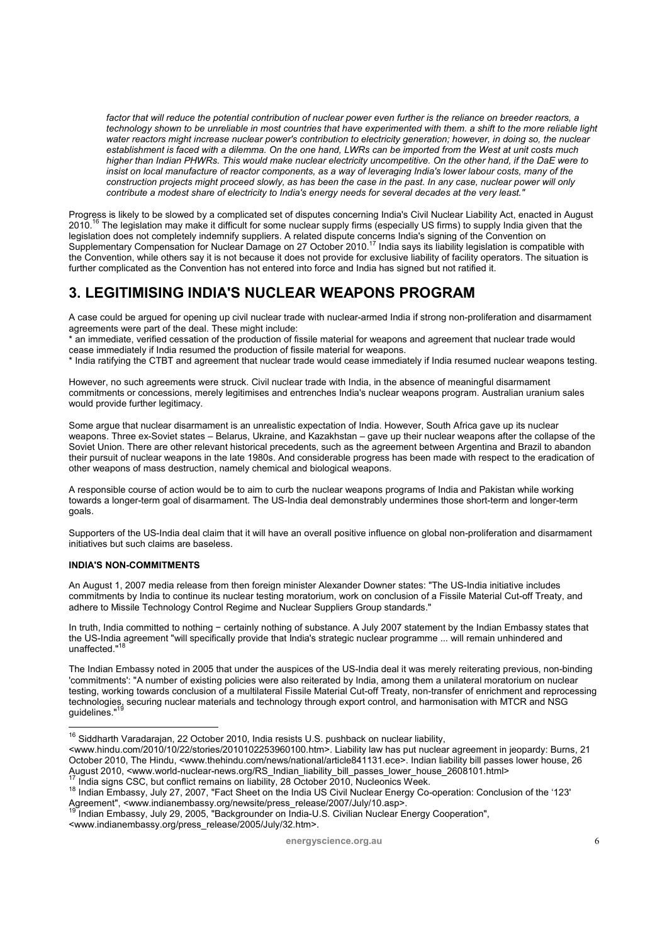*factor that will reduce the potential contribution of nuclear power even further is the reliance on breeder reactors, a technology shown to be unreliable in most countries that have experimented with them. a shift to the more reliable light water reactors might increase nuclear power's contribution to electricity generation; however, in doing so, the nuclear establishment is faced with a dilemma. On the one hand, LWRs can be imported from the West at unit costs much higher than Indian PHWRs. This would make nuclear electricity uncompetitive. On the other hand, if the DaE were to insist on local manufacture of reactor components, as a way of leveraging India's lower labour costs, many of the construction projects might proceed slowly, as has been the case in the past. In any case, nuclear power will only contribute a modest share of electricity to India's energy needs for several decades at the very least."* 

Progress is likely to be slowed by a complicated set of disputes concerning India's Civil Nuclear Liability Act, enacted in August 2010.<sup>16</sup> The legislation may make it difficult for some nuclear supply firms (especially US firms) to supply India given that the legislation does not completely indemnify suppliers. A related dispute concerns India's signing of the Convention on<br>Supplementary Compensation for Nuclear Damage on 27 October 2010.<sup>17</sup> India says its liability legislatio the Convention, while others say it is not because it does not provide for exclusive liability of facility operators. The situation is further complicated as the Convention has not entered into force and India has signed but not ratified it.

# **3. LEGITIMISING INDIA'S NUCLEAR WEAPONS PROGRAM**

A case could be argued for opening up civil nuclear trade with nuclear-armed India if strong non-proliferation and disarmament agreements were part of the deal. These might include:

an immediate, verified cessation of the production of fissile material for weapons and agreement that nuclear trade would cease immediately if India resumed the production of fissile material for weapons.

\* India ratifying the CTBT and agreement that nuclear trade would cease immediately if India resumed nuclear weapons testing.

However, no such agreements were struck. Civil nuclear trade with India, in the absence of meaningful disarmament commitments or concessions, merely legitimises and entrenches India's nuclear weapons program. Australian uranium sales would provide further legitimacy.

Some argue that nuclear disarmament is an unrealistic expectation of India. However, South Africa gave up its nuclear weapons. Three ex-Soviet states – Belarus, Ukraine, and Kazakhstan – gave up their nuclear weapons after the collapse of the Soviet Union. There are other relevant historical precedents, such as the agreement between Argentina and Brazil to abandon their pursuit of nuclear weapons in the late 1980s. And considerable progress has been made with respect to the eradication of other weapons of mass destruction, namely chemical and biological weapons.

A responsible course of action would be to aim to curb the nuclear weapons programs of India and Pakistan while working towards a longer-term goal of disarmament. The US-India deal demonstrably undermines those short-term and longer-term goals.

Supporters of the US-India deal claim that it will have an overall positive influence on global non-proliferation and disarmament initiatives but such claims are baseless.

### **INDIA'S NON-COMMITMENTS**

 $\overline{a}$ 

An August 1, 2007 media release from then foreign minister Alexander Downer states: "The US-India initiative includes commitments by India to continue its nuclear testing moratorium, work on conclusion of a Fissile Material Cut-off Treaty, and adhere to Missile Technology Control Regime and Nuclear Suppliers Group standards."

In truth, India committed to nothing − certainly nothing of substance. A July 2007 statement by the Indian Embassy states that the US-India agreement "will specifically provide that India's strategic nuclear programme ... will remain unhindered and unaffected."

The Indian Embassy noted in 2005 that under the auspices of the US-India deal it was merely reiterating previous, non-binding 'commitments': "A number of existing policies were also reiterated by India, among them a unilateral moratorium on nuclear testing, working towards conclusion of a multilateral Fissile Material Cut-off Treaty, non-transfer of enrichment and reprocessing technologies, securing nuclear materials and technology through export control, and harmonisation with MTCR and NSG guidelines."

<www.indianembassy.org/press\_release/2005/July/32.htm>.

 $16$  Siddharth Varadarajan, 22 October 2010, India resists U.S. pushback on nuclear liability,

<sup>&</sup>lt;www.hindu.com/2010/10/22/stories/2010102253960100.htm>. Liability law has put nuclear agreement in jeopardy: Burns, 21 October 2010, The Hindu, <www.thehindu.com/news/national/article841131.ece>. Indian liability bill passes lower house, 26 August 2010, <www.world-nuclear-news.org/RS\_Indian\_liability\_bill\_passes\_lower\_house\_2608101.html><br><sup>17</sup> India signs CSC, but conflict remains on liability, 28 October 2010, Nucleonics Week.<br><sup>18</sup> Indian Embassy, July 27, 20

Agreement", <www.indianembassy.org/newsite/press\_release/2007/July/10.asp>.<br>
<sup>19</sup> Indian Embassy, July 29, 2005, "Backgrounder on India-U.S. Civilian Nuclear Energy Cooperation",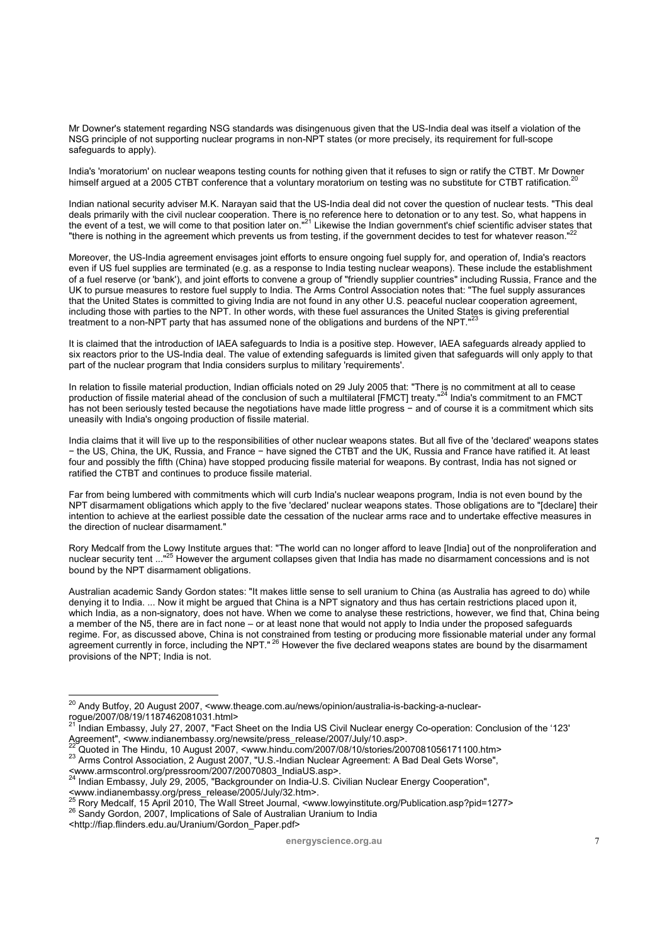Mr Downer's statement regarding NSG standards was disingenuous given that the US-India deal was itself a violation of the NSG principle of not supporting nuclear programs in non-NPT states (or more precisely, its requirement for full-scope safeguards to apply).

India's 'moratorium' on nuclear weapons testing counts for nothing given that it refuses to sign or ratify the CTBT. Mr Downer himself argued at a 2005 CTBT conference that a voluntary moratorium on testing was no substitute for CTBT ratification.

Indian national security adviser M.K. Narayan said that the US-India deal did not cover the question of nuclear tests. "This deal deals primarily with the civil nuclear cooperation. There is no reference here to detonation or to any test. So, what happens in the event of a test, we will come to that position later on."<sup>21</sup> Likewise the Indian government's chief scientific adviser states that "there is nothing in the agreement which prevents us from testing, if the government decides to test for whatever reason."

Moreover, the US-India agreement envisages joint efforts to ensure ongoing fuel supply for, and operation of, India's reactors even if US fuel supplies are terminated (e.g. as a response to India testing nuclear weapons). These include the establishment of a fuel reserve (or 'bank'), and joint efforts to convene a group of "friendly supplier countries" including Russia, France and the UK to pursue measures to restore fuel supply to India. The Arms Control Association notes that: "The fuel supply assurances that the United States is committed to giving India are not found in any other U.S. peaceful nuclear cooperation agreement, including those with parties to the NPT. In other words, with these fuel assurances the United States is giving preferential treatment to a non-NPT party that has assumed none of the obligations and burdens of the NPT."

It is claimed that the introduction of IAEA safeguards to India is a positive step. However, IAEA safeguards already applied to six reactors prior to the US-India deal. The value of extending safeguards is limited given that safeguards will only apply to that part of the nuclear program that India considers surplus to military 'requirements'.

In relation to fissile material production, Indian officials noted on 29 July 2005 that: "There is no commitment at all to cease production of fissile material ahead of the conclusion of such a multilateral [FMCT] treaty."<sup>24</sup> India's commitment to an FMCT has not been seriously tested because the negotiations have made little progress − and of course it is a commitment which sits uneasily with India's ongoing production of fissile material.

India claims that it will live up to the responsibilities of other nuclear weapons states. But all five of the 'declared' weapons states − the US, China, the UK, Russia, and France − have signed the CTBT and the UK, Russia and France have ratified it. At least four and possibly the fifth (China) have stopped producing fissile material for weapons. By contrast, India has not signed or ratified the CTBT and continues to produce fissile material.

Far from being lumbered with commitments which will curb India's nuclear weapons program, India is not even bound by the NPT disarmament obligations which apply to the five 'declared' nuclear weapons states. Those obligations are to "[declare] their intention to achieve at the earliest possible date the cessation of the nuclear arms race and to undertake effective measures in the direction of nuclear disarmament."

Rory Medcalf from the Lowy Institute argues that: "The world can no longer afford to leave [India] out of the nonproliferation and nuclear security tent ..."25 However the argument collapses given that India has made no disarmament concessions and is not bound by the NPT disarmament obligations.

Australian academic Sandy Gordon states: "It makes little sense to sell uranium to China (as Australia has agreed to do) while denying it to India. ... Now it might be argued that China is a NPT signatory and thus has certain restrictions placed upon it, which India, as a non-signatory, does not have. When we come to analyse these restrictions, however, we find that, China being a member of the N5, there are in fact none – or at least none that would not apply to India under the proposed safeguards regime. For, as discussed above, China is not constrained from testing or producing more fissionable material under any formal agreement currently in force, including the NPT."<sup>26</sup> However the five declared weapons states are bound by the disarmament provisions of the NPT; India is not.

<sup>&</sup>lt;sup>20</sup> Andy Butfoy, 20 August 2007, <www.theage.com.au/news/opinion/australia-is-backing-a-nuclearrogue/2007/08/19/1187462081031.html><br></response to the unit of the unit of the unit of the unit of the unit of the unit of the unit of the unit of the unit of the unit of the unit of the unit of the unit of the unit of the

<sup>&</sup>lt;sup>21</sup> Indian Embassy, July 27, 2007, "Fact Sheet on the India US Civil Nuclear energy Co-operation: Conclusion of the '123'<br>Agreement", <www.indianembassy.org/newsite/press\_release/2007/July/10.asp>.

 $^{22}$ Quoted in The Hindu, 10 August 2007, <www.hindu.com/2007/08/10/stories/2007081056171100.htm><br> $^{23}$  Arms Control Association, 2 August 2007, "U.S.-Indian Nuclear Agreement: A Bad Deal Gets Worse",

<sup>&</sup>lt;www.armscontrol.org/pressroom/2007/20070803\_IndiaUS.asp>. 24 Indian Embassy, July 29, 2005, "Backgrounder on India-U.S. Civilian Nuclear Energy Cooperation",

<sup>&</sup>lt;www.indianembassy.org/press\_release/2005/July/32.htm>.<br>
<sup>25</sup> Rory Medcalf, 15 April 2010, The Wall Street Journal, <www.lowyinstitute.org/Publication.asp?pid=1277><br>
<sup>26</sup> Sandy Gordon, 2007, Implications of Sale of Austral

<sup>&</sup>lt;http://fiap.flinders.edu.au/Uranium/Gordon\_Paper.pdf>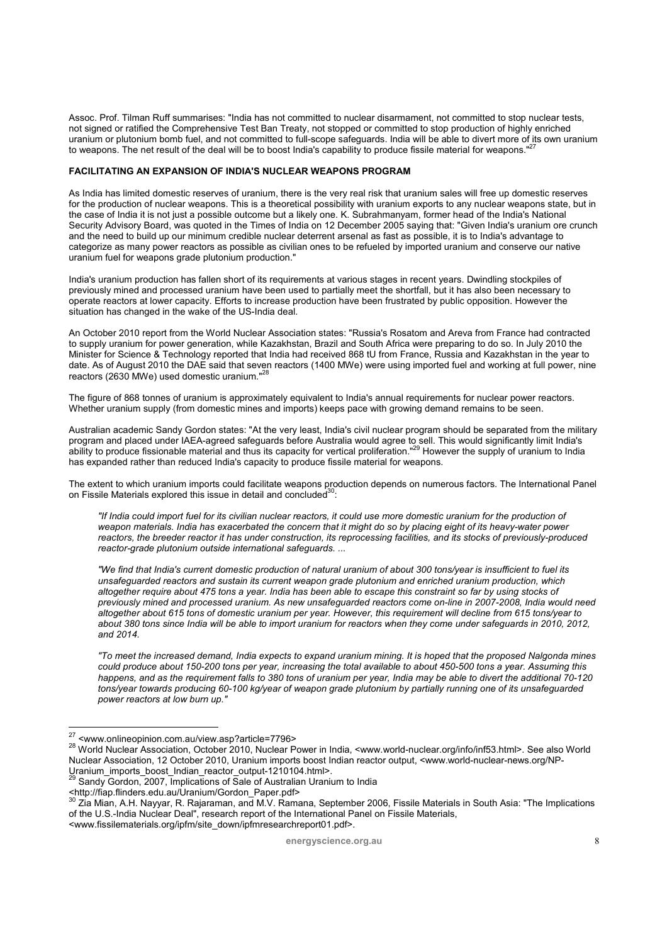Assoc. Prof. Tilman Ruff summarises: "India has not committed to nuclear disarmament, not committed to stop nuclear tests, not signed or ratified the Comprehensive Test Ban Treaty, not stopped or committed to stop production of highly enriched not signed or ratified the Comprenentive Test part Treaty, not stopped or committive to stop production or gits own uranium<br>uranium or plutonium bomb fuel, and not committed to full-scope safeguards. India will be able to to weapons. The net result of the deal will be to boost India's capability to produce fissile material for weapons."

#### **FACILITATING AN EXPANSION OF INDIA'S NUCLEAR WEAPONS PROGRAM**

As India has limited domestic reserves of uranium, there is the very real risk that uranium sales will free up domestic reserves for the production of nuclear weapons. This is a theoretical possibility with uranium exports to any nuclear weapons state, but in the case of India it is not just a possible outcome but a likely one. K. Subrahmanyam, former head of the India's National Security Advisory Board, was quoted in the Times of India on 12 December 2005 saying that: "Given India's uranium ore crunch and the need to build up our minimum credible nuclear deterrent arsenal as fast as possible, it is to India's advantage to categorize as many power reactors as possible as civilian ones to be refueled by imported uranium and conserve our native uranium fuel for weapons grade plutonium production."

India's uranium production has fallen short of its requirements at various stages in recent years. Dwindling stockpiles of previously mined and processed uranium have been used to partially meet the shortfall, but it has also been necessary to operate reactors at lower capacity. Efforts to increase production have been frustrated by public opposition. However the situation has changed in the wake of the US-India deal.

An October 2010 report from the World Nuclear Association states: "Russia's Rosatom and Areva from France had contracted to supply uranium for power generation, while Kazakhstan, Brazil and South Africa were preparing to do so. In July 2010 the Minister for Science & Technology reported that India had received 868 tU from France, Russia and Kazakhstan in the year to date. As of August 2010 the DAE said that seven reactors (1400 MWe) were using imported fuel and working at full power, nine reactors (2630 MWe) used domestic uranium."28

The figure of 868 tonnes of uranium is approximately equivalent to India's annual requirements for nuclear power reactors. Whether uranium supply (from domestic mines and imports) keeps pace with growing demand remains to be seen.

Australian academic Sandy Gordon states: "At the very least, India's civil nuclear program should be separated from the military program and placed under IAEA-agreed safeguards before Australia would agree to sell. This would significantly limit India's ability to produce fissionable material and thus its capacity for vertical proliferation."<sup>29</sup> However the supply of uranium to India has expanded rather than reduced India's capacity to produce fissile material for weapons.

The extent to which uranium imports could facilitate weapons production depends on numerous factors. The International Panel on Fissile Materials explored this issue in detail and concluded<sup>30</sup>:

*"If India could import fuel for its civilian nuclear reactors, it could use more domestic uranium for the production of weapon materials. India has exacerbated the concern that it might do so by placing eight of its heavy-water power reactors, the breeder reactor it has under construction, its reprocessing facilities, and its stocks of previously-produced reactor-grade plutonium outside international safeguards. ...* 

*"We find that India's current domestic production of natural uranium of about 300 tons/year is insufficient to fuel its unsafeguarded reactors and sustain its current weapon grade plutonium and enriched uranium production, which altogether require about 475 tons a year. India has been able to escape this constraint so far by using stocks of previously mined and processed uranium. As new unsafeguarded reactors come on-line in 2007-2008, India would need altogether about 615 tons of domestic uranium per year. However, this requirement will decline from 615 tons/year to*  about 380 tons since India will be able to import uranium for reactors when they come under safeguards in 2010, 2012, *and 2014.* 

*"To meet the increased demand, India expects to expand uranium mining. It is hoped that the proposed Nalgonda mines could produce about 150-200 tons per year, increasing the total available to about 450-500 tons a year. Assuming this happens, and as the requirement falls to 380 tons of uranium per year, India may be able to divert the additional 70-120 tons/year towards producing 60-100 kg/year of weapon grade plutonium by partially running one of its unsafeguarded power reactors at low burn up."* 

<sup>27 &</sup>lt;www.onlineopinion.com.au/view.asp?article=7796> 28 World Nuclear Association, October 2010, Nuclear Power in India, <www.world-nuclear.org/info/inf53.html>. See also World Nuclear Association, 12 October 2010, Uranium imports boost Indian reactor output, <www.world-nuclear-news.org/NP-<br>Uranium\_imports\_boost\_Indian\_reactor\_output-1210104.html>.

United-uranity-indianal reactors-output-1210104.html<br>Sandy Gordon, 2007, Implications of Sale of Australian Uranium to India

<sup>&</sup>lt;http://fiap.flinders.edu.au/Uranium/Gordon\_Paper.pdf> 30 Zia Mian, A.H. Nayyar, R. Rajaraman, and M.V. Ramana, September 2006, Fissile Materials in South Asia: "The Implications of the U.S.-India Nuclear Deal", research report of the International Panel on Fissile Materials, <www.fissilematerials.org/ipfm/site\_down/ipfmresearchreport01.pdf>.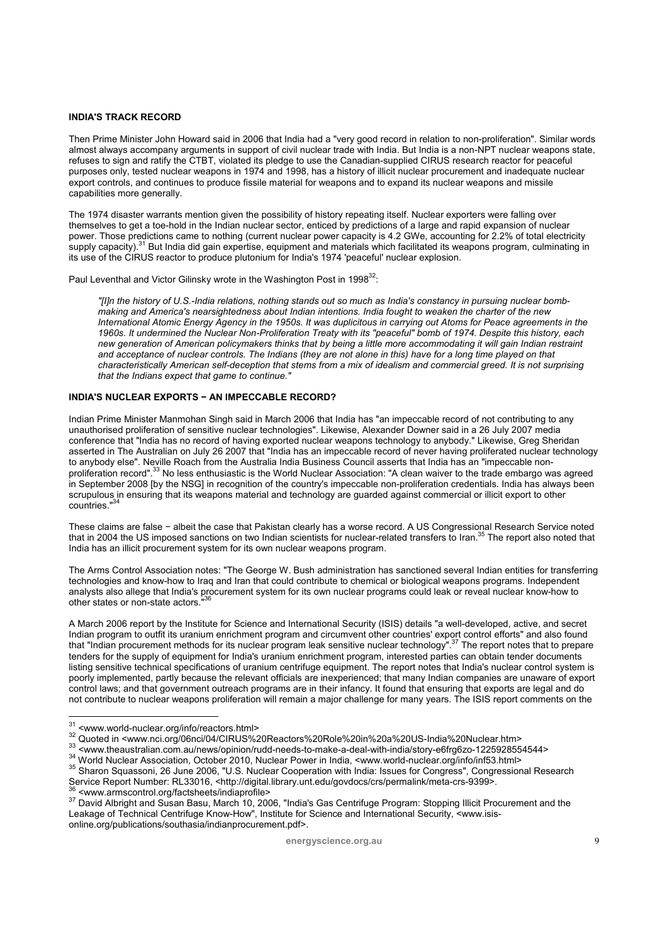### **INDIA'S TRACK RECORD**

Then Prime Minister John Howard said in 2006 that India had a "very good record in relation to non-proliferation". Similar words almost always accompany arguments in support of civil nuclear trade with India. But India is a non-NPT nuclear weapons state, refuses to sign and ratify the CTBT, violated its pledge to use the Canadian-supplied CIRUS research reactor for peaceful purposes only, tested nuclear weapons in 1974 and 1998, has a history of illicit nuclear procurement and inadequate nuclear export controls, and continues to produce fissile material for weapons and to expand its nuclear weapons and missile capabilities more generally.

The 1974 disaster warrants mention given the possibility of history repeating itself. Nuclear exporters were falling over themselves to get a toe-hold in the Indian nuclear sector, enticed by predictions of a large and rapid expansion of nuclear power. Those predictions came to nothing (current nuclear power capacity is 4.2 GWe, accounting for 2.2% of total electricity supply capacity).<sup>31</sup> But India did gain expertise, equipment and materials which facilitated its weapons program, culminating in its use of the CIRUS reactor to produce plutonium for India's 1974 'peaceful' nuclear explosion.

Paul Leventhal and Victor Gilinsky wrote in the Washington Post in 1998<sup>32</sup>:

*"[I]n the history of U.S.-India relations, nothing stands out so much as India's constancy in pursuing nuclear bombmaking and America's nearsightedness about Indian intentions. India fought to weaken the charter of the new International Atomic Energy Agency in the 1950s. It was duplicitous in carrying out Atoms for Peace agreements in the 1960s. It undermined the Nuclear Non-Proliferation Treaty with its "peaceful" bomb of 1974. Despite this history, each new generation of American policymakers thinks that by being a little more accommodating it will gain Indian restraint*  and acceptance of nuclear controls. The Indians (they are not alone in this) have for a long time played on that *characteristically American self-deception that stems from a mix of idealism and commercial greed. It is not surprising that the Indians expect that game to continue."*

### **INDIA'S NUCLEAR EXPORTS − AN IMPECCABLE RECORD?**

Indian Prime Minister Manmohan Singh said in March 2006 that India has "an impeccable record of not contributing to any unauthorised proliferation of sensitive nuclear technologies". Likewise, Alexander Downer said in a 26 July 2007 media conference that "India has no record of having exported nuclear weapons technology to anybody." Likewise, Greg Sheridan asserted in The Australian on July 26 2007 that "India has an impeccable record of never having proliferated nuclear technology to anybody else". Neville Roach from the Australia India Business Council asserts that India has an "impeccable nonproliferation record".33 No less enthusiastic is the World Nuclear Association: "A clean waiver to the trade embargo was agreed in September 2008 [by the NSG] in recognition of the country's impeccable non-proliferation credentials. India has always been scrupulous in ensuring that its weapons material and technology are guarded against commercial or illicit export to other countries."34

These claims are false − albeit the case that Pakistan clearly has a worse record. A US Congressional Research Service noted that in 2004 the US imposed sanctions on two Indian scientists for nuclear-related transfers to Iran.<sup>35</sup> The report also noted that India has an illicit procurement system for its own nuclear weapons program.

The Arms Control Association notes: "The George W. Bush administration has sanctioned several Indian entities for transferring technologies and know-how to Iraq and Iran that could contribute to chemical or biological weapons programs. Independent analysts also allege that India's procurement system for its own nuclear programs could leak or reveal nuclear know-how to other states or non-state actors."

A March 2006 report by the Institute for Science and International Security (ISIS) details "a well-developed, active, and secret Indian program to outfit its uranium enrichment program and circumvent other countries' export control efforts" and also found that "Indian procurement methods for its nuclear program leak sensitive nuclear technology".<sup>37</sup> The report notes that to prepare tenders for the supply of equipment for India's uranium enrichment program, interested parties can obtain tender documents listing sensitive technical specifications of uranium centrifuge equipment. The report notes that India's nuclear control system is poorly implemented, partly because the relevant officials are inexperienced; that many Indian companies are unaware of export control laws; and that government outreach programs are in their infancy. It found that ensuring that exports are legal and do not contribute to nuclear weapons proliferation will remain a major challenge for many years. The ISIS report comments on the

online.org/publications/southasia/indianprocurement.pdf>.

 $31$  <www.world-nuclear.org/info/reactors.html>

<sup>32</sup> Quoted in <www.nci.org/06nci/04/CIRUS%20Reactors%20Role%20in%20a%20US-India%20Nuclear.htm><br>33 <www.theaustralian.com.au/news/opinion/rudd-needs-to-make-a-deal-with-india/story-e6frg6zo-1225928554544><br>34 World Nuclear As

<sup>&</sup>lt;sup>36</sup> <www.armscontrol.org/factsheets/indiaprofile><br><sup>37</sup> David Albright and Susan Basu, March 10, 2006, "India's Gas Centrifuge Program: Stopping Illicit Procurement and the Leakage of Technical Centrifuge Know-How", Institute for Science and International Security, <www.isis-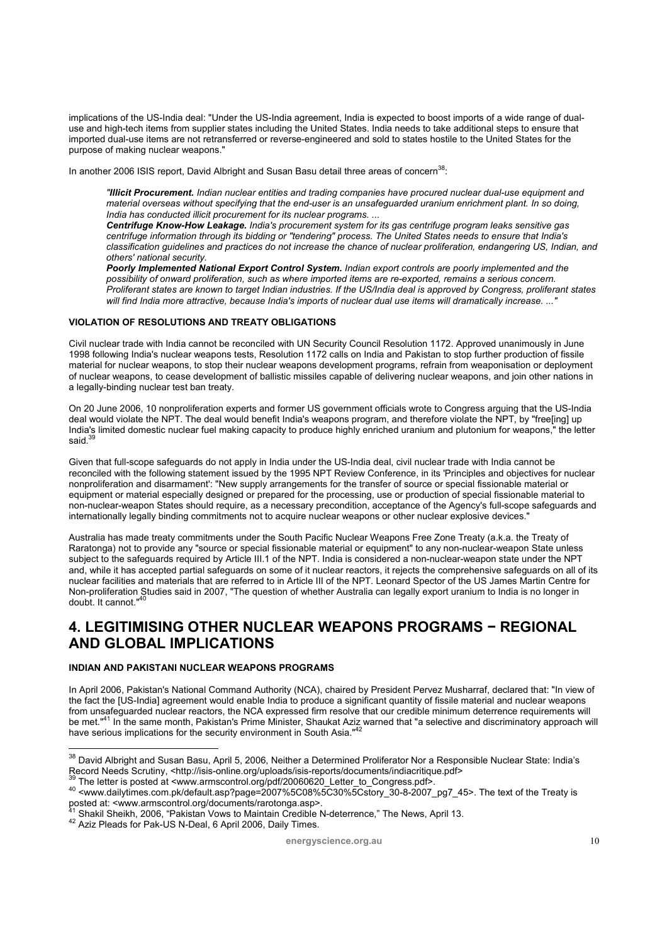implications of the US-India deal: "Under the US-India agreement, India is expected to boost imports of a wide range of dualuse and high-tech items from supplier states including the United States. India needs to take additional steps to ensure that imported dual-use items are not retransferred or reverse-engineered and sold to states hostile to the United States for the purpose of making nuclear weapons."

In another 2006 ISIS report, David Albright and Susan Basu detail three areas of concern<sup>38</sup>:

*"Illicit Procurement. Indian nuclear entities and trading companies have procured nuclear dual-use equipment and material overseas without specifying that the end-user is an unsafeguarded uranium enrichment plant. In so doing, India has conducted illicit procurement for its nuclear programs. ...* 

*Centrifuge Know-How Leakage. India's procurement system for its gas centrifuge program leaks sensitive gas centrifuge information through its bidding or "tendering" process. The United States needs to ensure that India's classification guidelines and practices do not increase the chance of nuclear proliferation, endangering US, Indian, and others' national security.* 

*Poorly Implemented National Export Control System. Indian export controls are poorly implemented and the possibility of onward proliferation, such as where imported items are re-exported, remains a serious concern. Proliferant states are known to target Indian industries. If the US/India deal is approved by Congress, proliferant states will find India more attractive, because India's imports of nuclear dual use items will dramatically increase. ..."*

#### **VIOLATION OF RESOLUTIONS AND TREATY OBLIGATIONS**

Civil nuclear trade with India cannot be reconciled with UN Security Council Resolution 1172. Approved unanimously in June 1998 following India's nuclear weapons tests, Resolution 1172 calls on India and Pakistan to stop further production of fissile material for nuclear weapons, to stop their nuclear weapons development programs, refrain from weaponisation or deployment of nuclear weapons, to cease development of ballistic missiles capable of delivering nuclear weapons, and join other nations in a legally-binding nuclear test ban treaty.

On 20 June 2006, 10 nonproliferation experts and former US government officials wrote to Congress arguing that the US-India deal would violate the NPT. The deal would benefit India's weapons program, and therefore violate the NPT, by "free[ing] up India's limited domestic nuclear fuel making capacity to produce highly enriched uranium and plutonium for weapons," the letter said.<sup>3</sup>

Given that full-scope safeguards do not apply in India under the US-India deal, civil nuclear trade with India cannot be reconciled with the following statement issued by the 1995 NPT Review Conference, in its 'Principles and objectives for nuclear nonproliferation and disarmament': "New supply arrangements for the transfer of source or special fissionable material or equipment or material especially designed or prepared for the processing, use or production of special fissionable material to non-nuclear-weapon States should require, as a necessary precondition, acceptance of the Agency's full-scope safeguards and internationally legally binding commitments not to acquire nuclear weapons or other nuclear explosive devices."

Australia has made treaty commitments under the South Pacific Nuclear Weapons Free Zone Treaty (a.k.a. the Treaty of Raratonga) not to provide any "source or special fissionable material or equipment" to any non-nuclear-weapon State unless subject to the safeguards required by Article III.1 of the NPT. India is considered a non-nuclear-weapon state under the NPT and, while it has accepted partial safeguards on some of it nuclear reactors, it rejects the comprehensive safeguards on all of its nuclear facilities and materials that are referred to in Article III of the NPT. Leonard Spector of the US James Martin Centre for Non-proliferation Studies said in 2007, "The question of whether Australia can legally export uranium to India is no longer in<br>doubt. It cannot."<sup>40</sup>

### **4. LEGITIMISING OTHER NUCLEAR WEAPONS PROGRAMS − REGIONAL AND GLOBAL IMPLICATIONS**

### **INDIAN AND PAKISTANI NUCLEAR WEAPONS PROGRAMS**

In April 2006, Pakistan's National Command Authority (NCA), chaired by President Pervez Musharraf, declared that: "In view of the fact the [US-India] agreement would enable India to produce a significant quantity of fissile material and nuclear weapons from unsafeguarded nuclear reactors, the NCA expressed firm resolve that our credible minimum deterrence requirements will be met."<sup>41</sup> In the same month, Pakistan's Prime Minister, Shaukat Aziz warned that "a selective and discriminatory approach will have serious implications for the security environment in South Asia."<sup>4</sup>

<sup>&</sup>lt;sup>38</sup> David Albright and Susan Basu, April 5, 2006, Neither a Determined Proliferator Nor a Responsible Nuclear State: India's

Record Needs Scrutiny, <http://isis-online.org/uploads/isis-reports/documents/indiacritique.pdf><br>
39 The letter is posted at <www.armscontrol.org/pdf/20060620\_Letter\_to\_Congress.pdf>.<br>
40 <www.dailytimes.com.pk/default.asp

 $41$  Shakil Sheikh, 2006, "Pakistan Vows to Maintain Credible N-deterrence," The News, April 13.  $42$  Aziz Pleads for Pak-US N-Deal, 6 April 2006, Daily Times.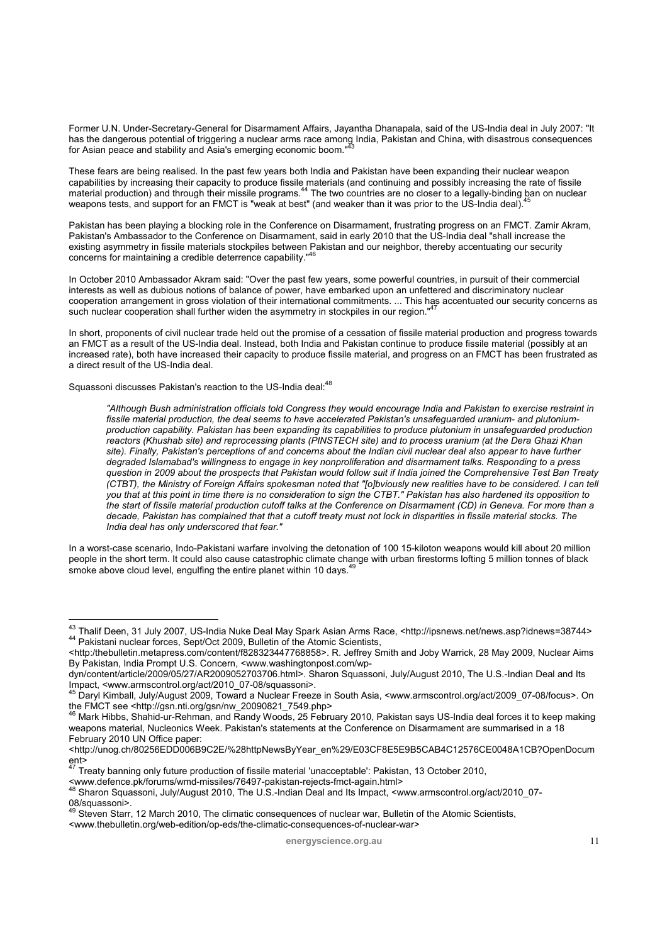Former U.N. Under-Secretary-General for Disarmament Affairs, Jayantha Dhanapala, said of the US-India deal in July 2007: "It has the dangerous potential of triggering a nuclear arms race among India, Pakistan and China, with disastrous consequences<br>for Asian peace and stability and Asia's emerging economic boom."<sup>43</sup>

These fears are being realised. In the past few years both India and Pakistan have been expanding their nuclear weapon capabilities by increasing their capacity to produce fissile materials (and continuing and possibly increasing the rate of fissile material production) and through their missile programs.<sup>44</sup> The two countries are no closer to a legally-binding ban on nuclear weapons tests, and support for an FMCT is "weak at best" (and weaker than it was prior to the US-India deal).

Pakistan has been playing a blocking role in the Conference on Disarmament, frustrating progress on an FMCT. Zamir Akram, Pakistan's Ambassador to the Conference on Disarmament, said in early 2010 that the US-India deal "shall increase the existing asymmetry in fissile materials stockpiles between Pakistan and our neighbor, thereby accentuating our security<br>concerns for maintaining a credible deterrence capability."<sup>46</sup>

In October 2010 Ambassador Akram said: "Over the past few years, some powerful countries, in pursuit of their commercial interests as well as dubious notions of balance of power, have embarked upon an unfettered and discriminatory nuclear cooperation arrangement in gross violation of their international commitments. ... This has accentuated our security concerns as such nuclear cooperation shall further widen the asymmetry in stockpiles in our region."

In short, proponents of civil nuclear trade held out the promise of a cessation of fissile material production and progress towards an FMCT as a result of the US-India deal. Instead, both India and Pakistan continue to produce fissile material (possibly at an increased rate), both have increased their capacity to produce fissile material, and progress on an FMCT has been frustrated as a direct result of the US-India deal.

Squassoni discusses Pakistan's reaction to the US-India deal:<sup>48</sup>

*"Although Bush administration officials told Congress they would encourage India and Pakistan to exercise restraint in fissile material production, the deal seems to have accelerated Pakistan's unsafeguarded uranium- and plutoniumproduction capability. Pakistan has been expanding its capabilities to produce plutonium in unsafeguarded production reactors (Khushab site) and reprocessing plants (PINSTECH site) and to process uranium (at the Dera Ghazi Khan site). Finally, Pakistan's perceptions of and concerns about the Indian civil nuclear deal also appear to have further degraded Islamabad's willingness to engage in key nonproliferation and disarmament talks. Responding to a press question in 2009 about the prospects that Pakistan would follow suit if India joined the Comprehensive Test Ban Treaty (CTBT), the Ministry of Foreign Affairs spokesman noted that "[o]bviously new realities have to be considered. I can tell you that at this point in time there is no consideration to sign the CTBT." Pakistan has also hardened its opposition to the start of fissile material production cutoff talks at the Conference on Disarmament (CD) in Geneva. For more than a decade, Pakistan has complained that that a cutoff treaty must not lock in disparities in fissile material stocks. The India deal has only underscored that fear."* 

In a worst-case scenario, Indo-Pakistani warfare involving the detonation of 100 15-kiloton weapons would kill about 20 million people in the short term. It could also cause catastrophic climate change with urban firestorms lofting 5 million tonnes of black smoke above cloud level, engulfing the entire planet within 10 days.<sup>49</sup>

<sup>&</sup>lt;sup>43</sup> Thalif Deen, 31 July 2007, US-India Nuke Deal May Spark Asian Arms Race, <http://ipsnews.net/news.asp?idnews=38744><br><sup>44</sup> Pakistani nuclear forces, Sept/Oct 2009, Bulletin of the Atomic Scientists,

<sup>&</sup>lt;http:/thebulletin.metapress.com/content/f828323447768858>. R. Jeffrey Smith and Joby Warrick, 28 May 2009, Nuclear Aims By Pakistan, India Prompt U.S. Concern, <www.washingtonpost.com/wp-

dyn/content/article/2009/05/27/AR2009052703706.html>. Sharon Squassoni, July/August 2010, The U.S.-Indian Deal and Its<br>Impact, <www.armscontrol.org/act/2010\_07-08/squassoni>.<br><sup>45</sup> Danyl Kimball, July/August 2000. Taurant a

<sup>&</sup>lt;sup>45</sup> Daryl Kimball, July/August 2009, Toward a Nuclear Freeze in South Asia, <www.armscontrol.org/act/2009\_07-08/focus>. On<br>the FMCT see <http://gsn.nti.org/gsn/nw\_20090821\_7549.php>

the FMCT seeding seminology.<br><sup>46</sup> Mark Hibbs, Shahid-ur-Rehman, and Randy Woods, 25 February 2010, Pakistan says US-India deal forces it to keep making weapons material, Nucleonics Week. Pakistan's statements at the Conference on Disarmament are summarised in a 18 February 2010 UN Office paper:

<sup>&</sup>lt;http://unog.ch/80256EDD006B9C2E/%28httpNewsByYear\_en%29/E03CF8E5E9B5CAB4C12576CE0048A1CB?OpenDocum ent>

<sup>47</sup> Treaty banning only future production of fissile material 'unacceptable': Pakistan, 13 October 2010,

<sup>&</sup>lt;www.defence.pk/forums/wmd-missiles/76497-pakistan-rejects-fmct-again.html> 48 Sharon Squassoni, July/August 2010, The U.S.-Indian Deal and Its Impact, <www.armscontrol.org/act/2010\_07- 08/squassoni>.

Steven Starr, 12 March 2010, The climatic consequences of nuclear war, Bulletin of the Atomic Scientists,

<sup>&</sup>lt;www.thebulletin.org/web-edition/op-eds/the-climatic-consequences-of-nuclear-war>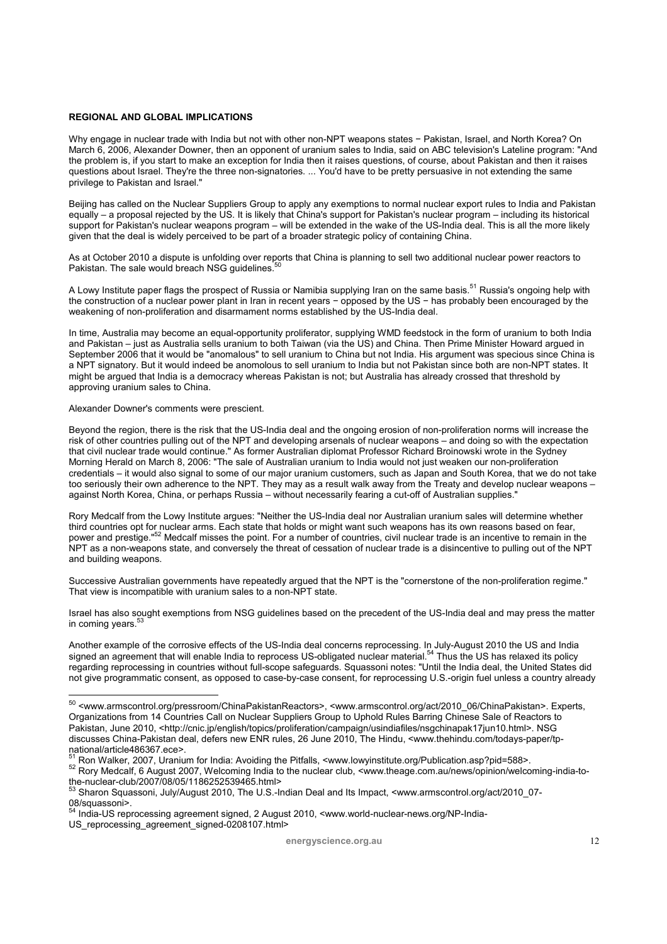### **REGIONAL AND GLOBAL IMPLICATIONS**

Why engage in nuclear trade with India but not with other non-NPT weapons states − Pakistan, Israel, and North Korea? On March 6, 2006, Alexander Downer, then an opponent of uranium sales to India, said on ABC television's Lateline program: "And the problem is, if you start to make an exception for India then it raises questions, of course, about Pakistan and then it raises questions about Israel. They're the three non-signatories. ... You'd have to be pretty persuasive in not extending the same privilege to Pakistan and Israel."

Beijing has called on the Nuclear Suppliers Group to apply any exemptions to normal nuclear export rules to India and Pakistan equally – a proposal rejected by the US. It is likely that China's support for Pakistan's nuclear program – including its historical support for Pakistan's nuclear weapons program – will be extended in the wake of the US-India deal. This is all the more likely given that the deal is widely perceived to be part of a broader strategic policy of containing China.

As at October 2010 a dispute is unfolding over reports that China is planning to sell two additional nuclear power reactors to Pakistan. The sale would breach NSG quidelines.<sup>5</sup>

A Lowy Institute paper flags the prospect of Russia or Namibia supplying Iran on the same basis.<sup>51</sup> Russia's ongoing help with the construction of a nuclear power plant in Iran in recent years − opposed by the US − has probably been encouraged by the weakening of non-proliferation and disarmament norms established by the US-India deal.

In time, Australia may become an equal-opportunity proliferator, supplying WMD feedstock in the form of uranium to both India and Pakistan – just as Australia sells uranium to both Taiwan (via the US) and China. Then Prime Minister Howard argued in September 2006 that it would be "anomalous" to sell uranium to China but not India. His argument was specious since China is a NPT signatory. But it would indeed be anomolous to sell uranium to India but not Pakistan since both are non-NPT states. It might be argued that India is a democracy whereas Pakistan is not; but Australia has already crossed that threshold by approving uranium sales to China.

#### Alexander Downer's comments were prescient.

Beyond the region, there is the risk that the US-India deal and the ongoing erosion of non-proliferation norms will increase the risk of other countries pulling out of the NPT and developing arsenals of nuclear weapons – and doing so with the expectation that civil nuclear trade would continue." As former Australian diplomat Professor Richard Broinowski wrote in the Sydney Morning Herald on March 8, 2006: "The sale of Australian uranium to India would not just weaken our non-proliferation credentials – it would also signal to some of our major uranium customers, such as Japan and South Korea, that we do not take too seriously their own adherence to the NPT. They may as a result walk away from the Treaty and develop nuclear weapons – against North Korea, China, or perhaps Russia – without necessarily fearing a cut-off of Australian supplies."

Rory Medcalf from the Lowy Institute argues: "Neither the US-India deal nor Australian uranium sales will determine whether third countries opt for nuclear arms. Each state that holds or might want such weapons has its own reasons based on fear, power and prestige."<sup>52</sup> Medcalf misses the point. For a number of countries, civil nuclear trade is an incentive to remain in the NPT as a non-weapons state, and conversely the threat of cessation of nuclear trade is a disincentive to pulling out of the NPT and building weapons.

Successive Australian governments have repeatedly argued that the NPT is the "cornerstone of the non-proliferation regime." That view is incompatible with uranium sales to a non-NPT state.

Israel has also sought exemptions from NSG guidelines based on the precedent of the US-India deal and may press the matter in coming years.<sup>53</sup>

Another example of the corrosive effects of the US-India deal concerns reprocessing. In July-August 2010 the US and India signed an agreement that will enable India to reprocess US-obligated nuclear material.<sup>54</sup> Thus the US has relaxed its policy regarding reprocessing in countries without full-scope safeguards. Squassoni notes: "Until the India deal, the United States did not give programmatic consent, as opposed to case-by-case consent, for reprocessing U.S.-origin fuel unless a country already

US reprocessing agreement signed-0208107.html>

<sup>&</sup>lt;sup>50</sup> <www.armscontrol.org/pressroom/ChinaPakistanReactors>, <www.armscontrol.org/act/2010\_06/ChinaPakistan>. Experts, Organizations from 14 Countries Call on Nuclear Suppliers Group to Uphold Rules Barring Chinese Sale of Reactors to Pakistan, June 2010, <http://cnic.jp/english/topics/proliferation/campaign/usindiafiles/nsgchinapak17jun10.html>. NSG discusses China-Pakistan deal, defers new ENR rules, 26 June 2010, The Hindu, <www.thehindu.com/todays-paper/tpnational/article486367.ece>.<br>
<sup>51</sup> Ron Walker, 2007, Uranium for India: Avoiding the Pitfalls, <www.lowyinstitute.org/Publication.asp?pid=588>.

<sup>&</sup>lt;sup>52</sup> Rory Medcalf, 6 August 2007, Welcoming India to the nuclear club, <www.theage.com.au/news/opinion/welcoming-india-tothe-nuclear-club/2007/08/05/1186252539465.html>

Sharon Squassoni, July/August 2010, The U.S.-Indian Deal and Its Impact, <www.armscontrol.org/act/2010\_07-08/squassoni>.

<sup>54</sup> India-US reprocessing agreement signed, 2 August 2010, <www.world-nuclear-news.org/NP-India-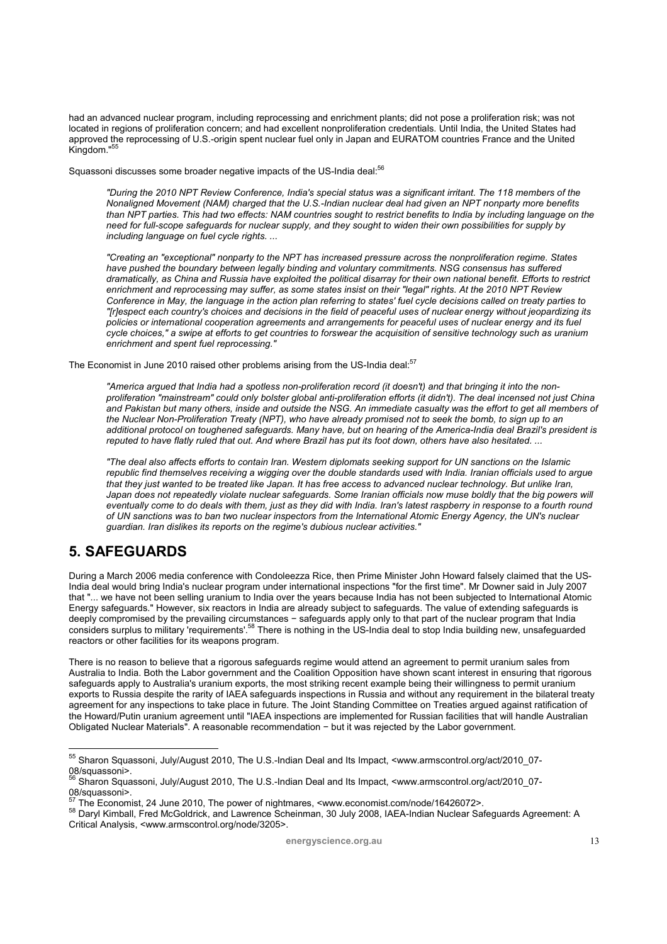had an advanced nuclear program, including reprocessing and enrichment plants; did not pose a proliferation risk; was not located in regions of proliferation concern; and had excellent nonproliferation credentials. Until India, the United States had approved the reprocessing of U.S.-origin spent nuclear fuel only in Japan and EURATOM countries France and the United Kingdom."<sup>55</sup>

Squassoni discusses some broader negative impacts of the US-India deal:<sup>56</sup>

*"During the 2010 NPT Review Conference, India's special status was a significant irritant. The 118 members of the Nonaligned Movement (NAM) charged that the U.S.-Indian nuclear deal had given an NPT nonparty more benefits than NPT parties. This had two effects: NAM countries sought to restrict benefits to India by including language on the need for full-scope safeguards for nuclear supply, and they sought to widen their own possibilities for supply by including language on fuel cycle rights. ...* 

*"Creating an "exceptional" nonparty to the NPT has increased pressure across the nonproliferation regime. States have pushed the boundary between legally binding and voluntary commitments. NSG consensus has suffered dramatically, as China and Russia have exploited the political disarray for their own national benefit. Efforts to restrict enrichment and reprocessing may suffer, as some states insist on their "legal" rights. At the 2010 NPT Review Conference in May, the language in the action plan referring to states' fuel cycle decisions called on treaty parties to "[r]espect each country's choices and decisions in the field of peaceful uses of nuclear energy without jeopardizing its policies or international cooperation agreements and arrangements for peaceful uses of nuclear energy and its fuel cycle choices," a swipe at efforts to get countries to forswear the acquisition of sensitive technology such as uranium enrichment and spent fuel reprocessing."* 

The Economist in June 2010 raised other problems arising from the US-India deal:<sup>57</sup>

*"America argued that India had a spotless non-proliferation record (it doesn't) and that bringing it into the nonproliferation "mainstream" could only bolster global anti-proliferation efforts (it didn't). The deal incensed not just China and Pakistan but many others, inside and outside the NSG. An immediate casualty was the effort to get all members of the Nuclear Non-Proliferation Treaty (NPT), who have already promised not to seek the bomb, to sign up to an additional protocol on toughened safeguards. Many have, but on hearing of the America-India deal Brazil's president is reputed to have flatly ruled that out. And where Brazil has put its foot down, others have also hesitated. ...* 

*"The deal also affects efforts to contain Iran. Western diplomats seeking support for UN sanctions on the Islamic republic find themselves receiving a wigging over the double standards used with India. Iranian officials used to argue that they just wanted to be treated like Japan. It has free access to advanced nuclear technology. But unlike Iran,*  Japan does not repeatedly violate nuclear safeguards. Some Iranian officials now muse boldly that the big powers will *eventually come to do deals with them, just as they did with India. Iran's latest raspberry in response to a fourth round of UN sanctions was to ban two nuclear inspectors from the International Atomic Energy Agency, the UN's nuclear guardian. Iran dislikes its reports on the regime's dubious nuclear activities."* 

# **5. SAFEGUARDS**

 $\overline{a}$ 

During a March 2006 media conference with Condoleezza Rice, then Prime Minister John Howard falsely claimed that the US-India deal would bring India's nuclear program under international inspections "for the first time". Mr Downer said in July 2007 that "... we have not been selling uranium to India over the years because India has not been subjected to International Atomic Energy safeguards." However, six reactors in India are already subject to safeguards. The value of extending safeguards is deeply compromised by the prevailing circumstances − safeguards apply only to that part of the nuclear program that India considers surplus to military 'requirements'.58 There is nothing in the US-India deal to stop India building new, unsafeguarded reactors or other facilities for its weapons program.

There is no reason to believe that a rigorous safeguards regime would attend an agreement to permit uranium sales from Australia to India. Both the Labor government and the Coalition Opposition have shown scant interest in ensuring that rigorous safeguards apply to Australia's uranium exports, the most striking recent example being their willingness to permit uranium exports to Russia despite the rarity of IAEA safeguards inspections in Russia and without any requirement in the bilateral treaty agreement for any inspections to take place in future. The Joint Standing Committee on Treaties argued against ratification of the Howard/Putin uranium agreement until "IAEA inspections are implemented for Russian facilities that will handle Australian Obligated Nuclear Materials". A reasonable recommendation − but it was rejected by the Labor government.

<sup>&</sup>lt;sup>55</sup> Sharon Squassoni, July/August 2010, The U.S.-Indian Deal and Its Impact, <www.armscontrol.org/act/2010\_07-08/squassoni>.

<sup>56</sup> Sharon Squassoni, July/August 2010, The U.S.-Indian Deal and Its Impact, <www.armscontrol.org/act/2010\_07-

os/squassoni>.<br><sup>57</sup> The Economist, 24 June 2010, The power of nightmares, <www.economist.com/node/16426072>.

<sup>58</sup> Daryl Kimball, Fred McGoldrick, and Lawrence Scheinman, 30 July 2008, IAEA-Indian Nuclear Safeguards Agreement: A Critical Analysis, <www.armscontrol.org/node/3205>.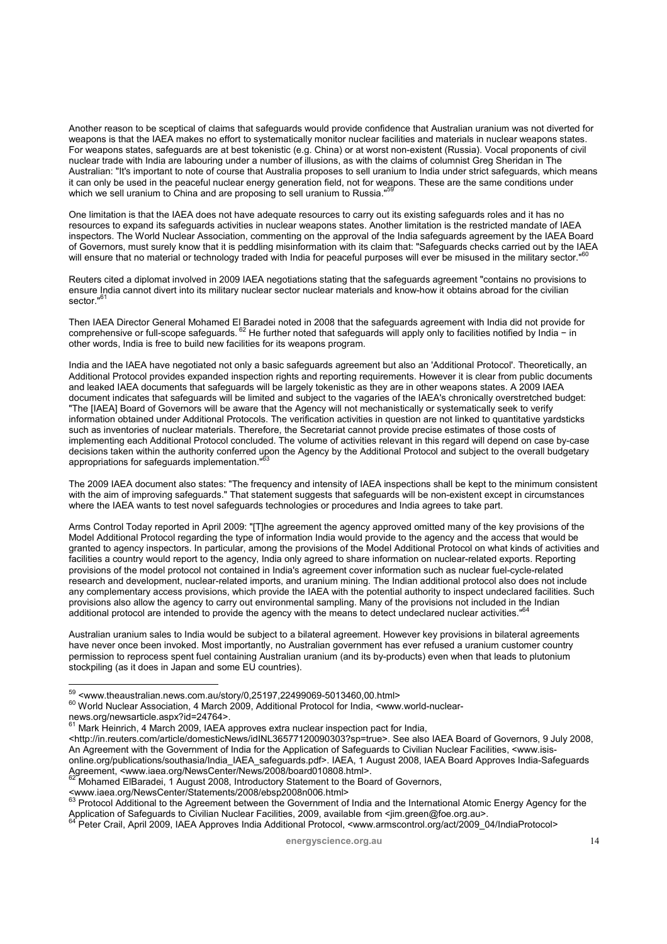Another reason to be sceptical of claims that safeguards would provide confidence that Australian uranium was not diverted for weapons is that the IAEA makes no effort to systematically monitor nuclear facilities and materials in nuclear weapons states. For weapons states, safeguards are at best tokenistic (e.g. China) or at worst non-existent (Russia). Vocal proponents of civil nuclear trade with India are labouring under a number of illusions, as with the claims of columnist Greg Sheridan in The Australian: "It's important to note of course that Australia proposes to sell uranium to India under strict safeguards, which means it can only be used in the peaceful nuclear energy generation field, not for weapons. These are the same conditions under which we sell uranium to China and are proposing to sell uranium to Russia."<sup>5</sup>

One limitation is that the IAEA does not have adequate resources to carry out its existing safeguards roles and it has no resources to expand its safeguards activities in nuclear weapons states. Another limitation is the restricted mandate of IAEA inspectors. The World Nuclear Association, commenting on the approval of the India safeguards agreement by the IAEA Board of Governors, must surely know that it is peddling misinformation with its claim that: "Safeguards checks carried out by the IAEA will ensure that no material or technology traded with India for peaceful purposes will ever be misused in the military sector."

Reuters cited a diplomat involved in 2009 IAEA negotiations stating that the safeguards agreement "contains no provisions to ensure India cannot divert into its military nuclear sector nuclear materials and know-how it obtains abroad for the civilian sector."<sup>61</sup>

Then IAEA Director General Mohamed El Baradei noted in 2008 that the safeguards agreement with India did not provide for comprehensive or full-scope safeguards. 62 He further noted that safeguards will apply only to facilities notified by India − in other words, India is free to build new facilities for its weapons program.

India and the IAEA have negotiated not only a basic safeguards agreement but also an 'Additional Protocol'. Theoretically, an Additional Protocol provides expanded inspection rights and reporting requirements. However it is clear from public documents and leaked IAEA documents that safeguards will be largely tokenistic as they are in other weapons states. A 2009 IAEA document indicates that safeguards will be limited and subject to the vagaries of the IAEA's chronically overstretched budget: "The [IAEA] Board of Governors will be aware that the Agency will not mechanistically or systematically seek to verify information obtained under Additional Protocols. The verification activities in question are not linked to quantitative yardsticks such as inventories of nuclear materials. Therefore, the Secretariat cannot provide precise estimates of those costs of implementing each Additional Protocol concluded. The volume of activities relevant in this regard will depend on case by-case decisions taken within the authority conferred upon the Agency by the Additional Protocol and subject to the overall budgetary appropriations for safeguards implementation."

The 2009 IAEA document also states: "The frequency and intensity of IAEA inspections shall be kept to the minimum consistent with the aim of improving safeguards." That statement suggests that safeguards will be non-existent except in circumstances where the IAEA wants to test novel safeguards technologies or procedures and India agrees to take part.

Arms Control Today reported in April 2009: "[T]he agreement the agency approved omitted many of the key provisions of the Model Additional Protocol regarding the type of information India would provide to the agency and the access that would be granted to agency inspectors. In particular, among the provisions of the Model Additional Protocol on what kinds of activities and facilities a country would report to the agency, India only agreed to share information on nuclear-related exports. Reporting provisions of the model protocol not contained in India's agreement cover information such as nuclear fuel-cycle-related research and development, nuclear-related imports, and uranium mining. The Indian additional protocol also does not include any complementary access provisions, which provide the IAEA with the potential authority to inspect undeclared facilities. Such provisions also allow the agency to carry out environmental sampling. Many of the provisions not included in the Indian additional protocol are intended to provide the agency with the means to detect undeclared nuclear activities."

Australian uranium sales to India would be subject to a bilateral agreement. However key provisions in bilateral agreements have never once been invoked. Most importantly, no Australian government has ever refused a uranium customer country permission to reprocess spent fuel containing Australian uranium (and its by-products) even when that leads to plutonium stockpiling (as it does in Japan and some EU countries).

news.org/newsarticle.aspx?id=24764>.

 $59$  <www.theaustralian.news.com.au/story/0,25197,22499069-5013460,00.html>

<sup>60</sup> World Nuclear Association. 4 March 2009, Additional Protocol for India, <www.world-nuclear-

Mark Heinrich, 4 March 2009, IAEA approves extra nuclear inspection pact for India,

<sup>&</sup>lt;http://in.reuters.com/article/domesticNews/idINL36577120090303?sp=true>. See also IAEA Board of Governors, 9 July 2008, An Agreement with the Government of India for the Application of Safeguards to Civilian Nuclear Facilities, <www.isisonline.org/publications/southasia/India\_IAEA\_safeguards.pdf>. IAEA, 1 August 2008, IAEA Board Approves India-Safeguards<br>Agreement, <www.iaea.org/NewsCenter/News/2008/board010808.html>.

<sup>&</sup>lt;sup>62</sup> Mohamed ElBaradei, 1 August 2008, Introductory Statement to the Board of Governors,<br><www.iaea.org/NewsCenter/Statements/2008/ebsp2008n006.html>

<sup>&</sup>lt;www.iaea.org/NewsCenter/Statements/2008/ebsp2008n006.html> 63 Protocol Additional to the Agreement between the Government of India and the International Atomic Energy Agency for the Application of Safeguards to Civilian Nuclear Facilities, 2009, available from <jim.green@foe.org.au>. 64 Peter Crail, April 2009, IAEA Approves India Additional Protocol, <www.armscontrol.org/act/2009\_04/IndiaProtocol>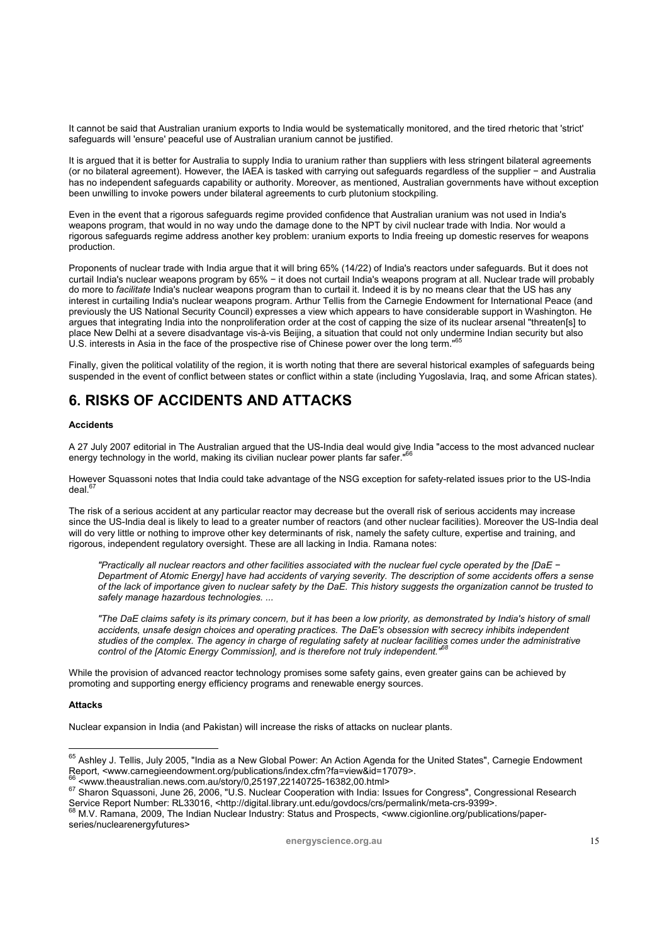It cannot be said that Australian uranium exports to India would be systematically monitored, and the tired rhetoric that 'strict' safeguards will 'ensure' peaceful use of Australian uranium cannot be justified.

It is argued that it is better for Australia to supply India to uranium rather than suppliers with less stringent bilateral agreements (or no bilateral agreement). However, the IAEA is tasked with carrying out safeguards regardless of the supplier − and Australia has no independent safeguards capability or authority. Moreover, as mentioned, Australian governments have without exception been unwilling to invoke powers under bilateral agreements to curb plutonium stockpiling.

Even in the event that a rigorous safeguards regime provided confidence that Australian uranium was not used in India's weapons program, that would in no way undo the damage done to the NPT by civil nuclear trade with India. Nor would a rigorous safeguards regime address another key problem: uranium exports to India freeing up domestic reserves for weapons production.

Proponents of nuclear trade with India argue that it will bring 65% (14/22) of India's reactors under safeguards. But it does not curtail India's nuclear weapons program by 65% − it does not curtail India's weapons program at all. Nuclear trade will probably do more to *facilitate* India's nuclear weapons program than to curtail it. Indeed it is by no means clear that the US has any interest in curtailing India's nuclear weapons program. Arthur Tellis from the Carnegie Endowment for International Peace (and previously the US National Security Council) expresses a view which appears to have considerable support in Washington. He argues that integrating India into the nonproliferation order at the cost of capping the size of its nuclear arsenal "threaten[s] to place New Delhi at a severe disadvantage vis-à-vis Beijing, a situation that could not only undermine Indian security but also U.S. interests in Asia in the face of the prospective rise of Chinese power over the long term."<sup>6</sup>

Finally, given the political volatility of the region, it is worth noting that there are several historical examples of safeguards being suspended in the event of conflict between states or conflict within a state (including Yugoslavia, Iraq, and some African states).

# **6. RISKS OF ACCIDENTS AND ATTACKS**

### **Accidents**

A 27 July 2007 editorial in The Australian argued that the US-India deal would give India "access to the most advanced nuclear energy technology in the world, making its civilian nuclear power plants far safer."<sup>66</sup>

However Squassoni notes that India could take advantage of the NSG exception for safety-related issues prior to the US-India  $deal.<sup>67</sup>$ 

The risk of a serious accident at any particular reactor may decrease but the overall risk of serious accidents may increase since the US-India deal is likely to lead to a greater number of reactors (and other nuclear facilities). Moreover the US-India deal will do very little or nothing to improve other key determinants of risk, namely the safety culture, expertise and training, and rigorous, independent regulatory oversight. These are all lacking in India. Ramana notes:

*"Practically all nuclear reactors and other facilities associated with the nuclear fuel cycle operated by the [DaE − Department of Atomic Energy] have had accidents of varying severity. The description of some accidents offers a sense of the lack of importance given to nuclear safety by the DaE. This history suggests the organization cannot be trusted to safely manage hazardous technologies. ...* 

*"The DaE claims safety is its primary concern, but it has been a low priority, as demonstrated by India's history of small accidents, unsafe design choices and operating practices. The DaE's obsession with secrecy inhibits independent studies of the complex. The agency in charge of regulating safety at nuclear facilities comes under the administrative control of the [Atomic Energy Commission], and is therefore not truly independent."68*

While the provision of advanced reactor technology promises some safety gains, even greater gains can be achieved by promoting and supporting energy efficiency programs and renewable energy sources.

### **Attacks**

 $\overline{a}$ 

Nuclear expansion in India (and Pakistan) will increase the risks of attacks on nuclear plants.

series/nuclearenergyfutures>

<sup>&</sup>lt;sup>65</sup> Ashley J. Tellis, July 2005, "India as a New Global Power: An Action Agenda for the United States", Carnegie Endowment

Report, <www.carnegieendowment.org/publications/index.cfm?fa=view&id=17079>.<br><sup>66</sup> <www.theaustralian.news.com.au/story/0,25197,22140725-16382,00.html><br><sup>67</sup> Sharon Squassoni, June 26, 2006, "U.S. Nuclear Cooperation with In Service Report Number: RL33016, <http://digital.library.unt.edu/govdocs/crs/permalink/meta-crs-9399>.<br>68 M.V. Ramana, 2009, The Indian Nuclear Industry: Status and Prospects, <www.cigionline.org/publications/paper-<br>68 M.V.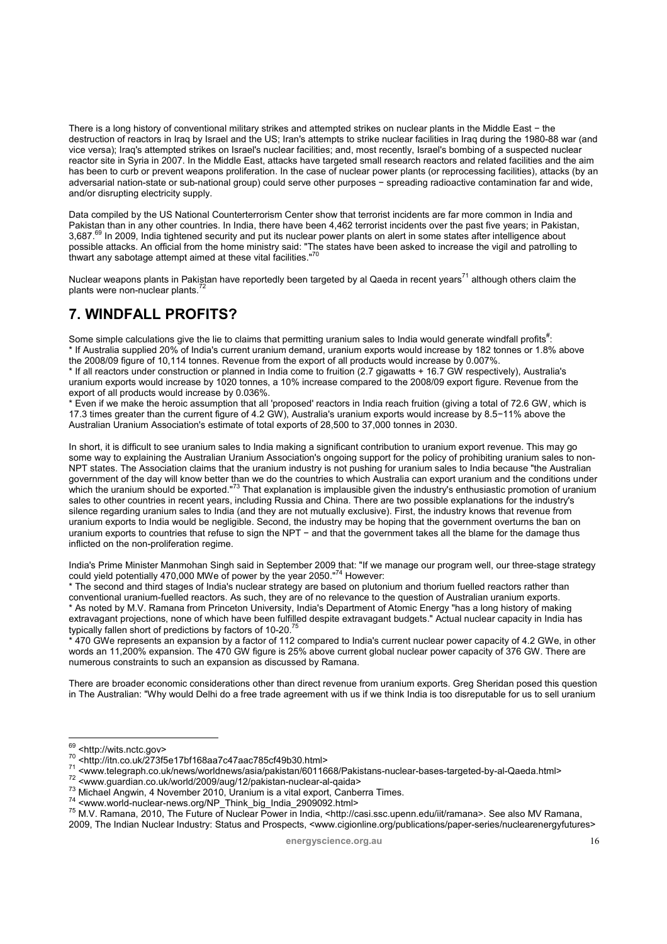There is a long history of conventional military strikes and attempted strikes on nuclear plants in the Middle East − the destruction of reactors in Iraq by Israel and the US; Iran's attempts to strike nuclear facilities in Iraq during the 1980-88 war (and vice versa); Iraq's attempted strikes on Israel's nuclear facilities; and, most recently, Israel's bombing of a suspected nuclear reactor site in Syria in 2007. In the Middle East, attacks have targeted small research reactors and related facilities and the aim has been to curb or prevent weapons proliferation. In the case of nuclear power plants (or reprocessing facilities), attacks (by an adversarial nation-state or sub-national group) could serve other purposes − spreading radioactive contamination far and wide, and/or disrupting electricity supply.

Data compiled by the US National Counterterrorism Center show that terrorist incidents are far more common in India and Pakistan than in any other countries. In India, there have been 4,462 terrorist incidents over the past five years; in Pakistan, 3,687.<sup>69</sup> In 2009, India tightened security and put its nuclear power plants on alert in some states after intelligence about possible attacks. An official from the home ministry said: "The states have been asked to increase the vigil and patrolling to<br>thwart any sabotage attempt aimed at these vital facilities."<sup>70</sup>

Nuclear weapons plants in Pakistan have reportedly been targeted by al Qaeda in recent years<sup>71</sup> although others claim the plants were non-nuclear plants.

# **7. WINDFALL PROFITS?**

Some simple calculations give the lie to claims that permitting uranium sales to India would generate windfall profits<sup>#</sup>: \* If Australia supplied 20% of India's current uranium demand, uranium exports would increase by 182 tonnes or 1.8% above the 2008/09 figure of 10,114 tonnes. Revenue from the export of all products would increase by 0.007%.

\* If all reactors under construction or planned in India come to fruition (2.7 gigawatts + 16.7 GW respectively), Australia's uranium exports would increase by 1020 tonnes, a 10% increase compared to the 2008/09 export figure. Revenue from the export of all products would increase by 0.036%.

\* Even if we make the heroic assumption that all 'proposed' reactors in India reach fruition (giving a total of 72.6 GW, which is 17.3 times greater than the current figure of 4.2 GW), Australia's uranium exports would increase by 8.5−11% above the Australian Uranium Association's estimate of total exports of 28,500 to 37,000 tonnes in 2030.

In short, it is difficult to see uranium sales to India making a significant contribution to uranium export revenue. This may go some way to explaining the Australian Uranium Association's ongoing support for the policy of prohibiting uranium sales to non-NPT states. The Association claims that the uranium industry is not pushing for uranium sales to India because "the Australian government of the day will know better than we do the countries to which Australia can export uranium and the conditions under<br>which the uranium should be exported."<sup>73</sup> That explanation is implausible given the industry's sales to other countries in recent years, including Russia and China. There are two possible explanations for the industry's silence regarding uranium sales to India (and they are not mutually exclusive). First, the industry knows that revenue from uranium exports to India would be negligible. Second, the industry may be hoping that the government overturns the ban on uranium exports to countries that refuse to sign the NPT − and that the government takes all the blame for the damage thus inflicted on the non-proliferation regime.

India's Prime Minister Manmohan Singh said in September 2009 that: "If we manage our program well, our three-stage strategy could yield potentially 470,000 MWe of power by the year 2050. $"^{74}$  However:

The second and third stages of India's nuclear strategy are based on plutonium and thorium fuelled reactors rather than conventional uranium-fuelled reactors. As such, they are of no relevance to the question of Australian uranium exports. \* As noted by M.V. Ramana from Princeton University, India's Department of Atomic Energy "has a long history of making extravagant projections, none of which have been fulfilled despite extravagant budgets." Actual nuclear capacity in India has typically fallen short of predictions by factors of 10-20.75

\* 470 GWe represents an expansion by a factor of 112 compared to India's current nuclear power capacity of 4.2 GWe, in other words an 11,200% expansion. The 470 GW figure is 25% above current global nuclear power capacity of 376 GW. There are numerous constraints to such an expansion as discussed by Ramana.

There are broader economic considerations other than direct revenue from uranium exports. Greg Sheridan posed this question in The Australian: "Why would Delhi do a free trade agreement with us if we think India is too disreputable for us to sell uranium

<sup>&</sup>lt;sup>69</sup> <http://wits.nctc.gov>

<sup>&</sup>lt;sup>70</sup> <http://itn.co.uk/273f5e17bf168aa7c47aac785cf49b30.html><br>
<sup>71</sup> <www.telegraph.co.uk/news/worldnews/asia/pakistan/6011668/Pakistans-nuclear-bases-targeted-by-al-Qaeda.html><br>
<sup>72</sup> <www.guardian.co.uk/world/2009/aug/12/p 2009, The Indian Nuclear Industry: Status and Prospects, <www.cigionline.org/publications/paper-series/nuclearenergyfutures>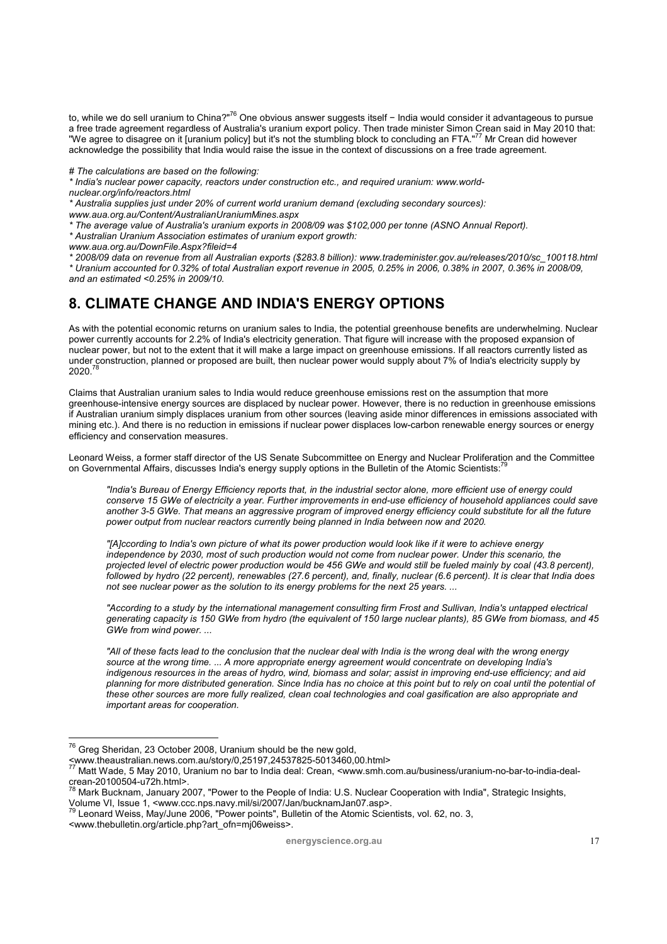to, while we do sell uranium to China?"<sup>76</sup> One obvious answer suggests itself − India would consider it advantageous to pursue a free trade agreement regardless of Australia's uranium export policy. Then trade minister Simon Crean said in May 2010 that:<br>"We agree to disagree on it [uranium policy] but it's not the stumbling block to concluding an acknowledge the possibility that India would raise the issue in the context of discussions on a free trade agreement.

*# The calculations are based on the following:* 

*\* India's nuclear power capacity, reactors under construction etc., and required uranium: www.worldnuclear.org/info/reactors.html* 

*\* Australia supplies just under 20% of current world uranium demand (excluding secondary sources): www.aua.org.au/Content/AustralianUraniumMines.aspx* 

*\* The average value of Australia's uranium exports in 2008/09 was \$102,000 per tonne (ASNO Annual Report).* 

*\* Australian Uranium Association estimates of uranium export growth:* 

*www.aua.org.au/DownFile.Aspx?fileid=4* 

*\* 2008/09 data on revenue from all Australian exports (\$283.8 billion): www.trademinister.gov.au/releases/2010/sc\_100118.html \* Uranium accounted for 0.32% of total Australian export revenue in 2005, 0.25% in 2006, 0.38% in 2007, 0.36% in 2008/09,* 

*and an estimated <0.25% in 2009/10.*

# **8. CLIMATE CHANGE AND INDIA'S ENERGY OPTIONS**

As with the potential economic returns on uranium sales to India, the potential greenhouse benefits are underwhelming. Nuclear power currently accounts for 2.2% of India's electricity generation. That figure will increase with the proposed expansion of nuclear power, but not to the extent that it will make a large impact on greenhouse emissions. If all reactors currently listed as under construction, planned or proposed are built, then nuclear power would supply about 7% of India's electricity supply by  $2020.7$ 

Claims that Australian uranium sales to India would reduce greenhouse emissions rest on the assumption that more greenhouse-intensive energy sources are displaced by nuclear power. However, there is no reduction in greenhouse emissions if Australian uranium simply displaces uranium from other sources (leaving aside minor differences in emissions associated with mining etc.). And there is no reduction in emissions if nuclear power displaces low-carbon renewable energy sources or energy efficiency and conservation measures.

Leonard Weiss, a former staff director of the US Senate Subcommittee on Energy and Nuclear Proliferation and the Committee on Governmental Affairs, discusses India's energy supply options in the Bulletin of the Atomic Scientists:

*"India's Bureau of Energy Efficiency reports that, in the industrial sector alone, more efficient use of energy could conserve 15 GWe of electricity a year. Further improvements in end-use efficiency of household appliances could save another 3-5 GWe. That means an aggressive program of improved energy efficiency could substitute for all the future power output from nuclear reactors currently being planned in India between now and 2020.* 

*"[A]ccording to India's own picture of what its power production would look like if it were to achieve energy independence by 2030, most of such production would not come from nuclear power. Under this scenario, the projected level of electric power production would be 456 GWe and would still be fueled mainly by coal (43.8 percent), followed by hydro (22 percent), renewables (27.6 percent), and, finally, nuclear (6.6 percent). It is clear that India does not see nuclear power as the solution to its energy problems for the next 25 years. ...* 

*"According to a study by the international management consulting firm Frost and Sullivan, India's untapped electrical generating capacity is 150 GWe from hydro (the equivalent of 150 large nuclear plants), 85 GWe from biomass, and 45 GWe from wind power. ...* 

*"All of these facts lead to the conclusion that the nuclear deal with India is the wrong deal with the wrong energy source at the wrong time. ... A more appropriate energy agreement would concentrate on developing India's indigenous resources in the areas of hydro, wind, biomass and solar; assist in improving end-use efficiency; and aid planning for more distributed generation. Since India has no choice at this point but to rely on coal until the potential of these other sources are more fully realized, clean coal technologies and coal gasification are also appropriate and important areas for cooperation.* 

<www.thebulletin.org/article.php?art\_ofn=mj06weiss>.

 $76$  Greg Sheridan, 23 October 2008, Uranium should be the new gold,

<sup>&</sup>lt;www.theaustralian.news.com.au/story/0,25197,24537825-5013460,00.html> 77 Matt Wade, 5 May 2010, Uranium no bar to India deal: Crean, <www.smh.com.au/business/uranium-no-bar-to-india-dealcrean-20100504-u72h.html>.

<sup>&</sup>lt;sup>78</sup> Mark Bucknam, January 2007, "Power to the People of India: U.S. Nuclear Cooperation with India", Strategic Insights,<br>Volume VI, Issue 1, <www.ccc.nps.navy.mil/si/2007/Jan/bucknamJan07.asp>.

Leonard Weiss, May/June 2006, "Power points", Bulletin of the Atomic Scientists, vol. 62, no. 3,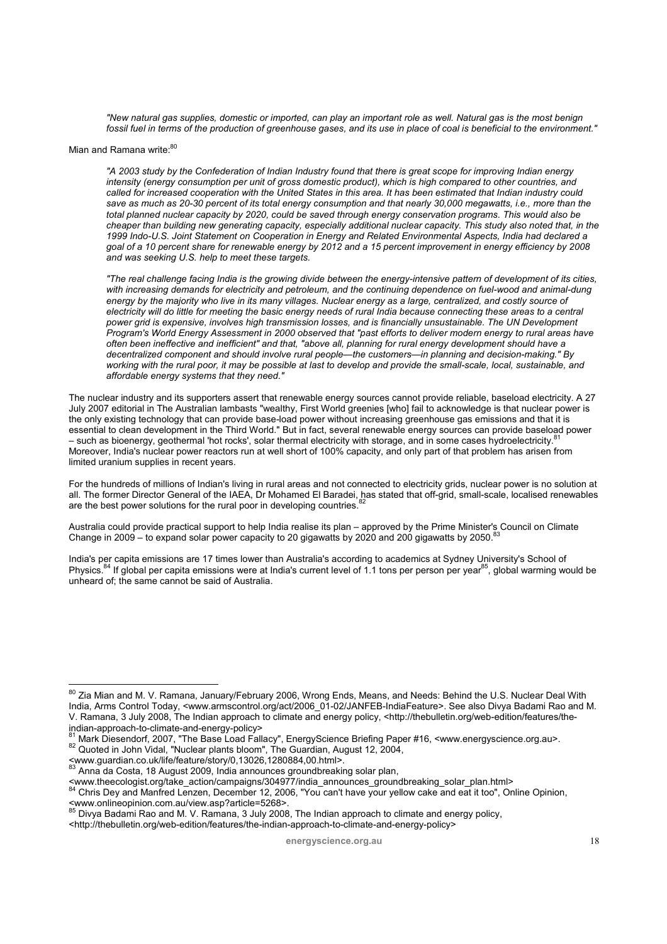*"New natural gas supplies, domestic or imported, can play an important role as well. Natural gas is the most benign fossil fuel in terms of the production of greenhouse gases, and its use in place of coal is beneficial to the environment."* 

#### Mian and Ramana write:<sup>80</sup>

*"A 2003 study by the Confederation of Indian Industry found that there is great scope for improving Indian energy intensity (energy consumption per unit of gross domestic product), which is high compared to other countries, and called for increased cooperation with the United States in this area. It has been estimated that Indian industry could save as much as 20-30 percent of its total energy consumption and that nearly 30,000 megawatts, i.e., more than the total planned nuclear capacity by 2020, could be saved through energy conservation programs. This would also be cheaper than building new generating capacity, especially additional nuclear capacity. This study also noted that, in the 1999 Indo-U.S. Joint Statement on Cooperation in Energy and Related Environmental Aspects, India had declared a goal of a 10 percent share for renewable energy by 2012 and a 15 percent improvement in energy efficiency by 2008 and was seeking U.S. help to meet these targets.* 

*"The real challenge facing India is the growing divide between the energy-intensive pattern of development of its cities,*  with increasing demands for electricity and petroleum, and the continuing dependence on fuel-wood and animal-dung energy by the majority who live in its many villages. Nuclear energy as a large, centralized, and costly source of electricity will do little for meeting the basic energy needs of rural India because connecting these areas to a central *power grid is expensive, involves high transmission losses, and is financially unsustainable. The UN Development Program's World Energy Assessment in 2000 observed that "past efforts to deliver modern energy to rural areas have often been ineffective and inefficient" and that, "above all, planning for rural energy development should have a decentralized component and should involve rural people—the customers—in planning and decision-making." By working with the rural poor, it may be possible at last to develop and provide the small-scale, local, sustainable, and affordable energy systems that they need."*

The nuclear industry and its supporters assert that renewable energy sources cannot provide reliable, baseload electricity. A 27 July 2007 editorial in The Australian lambasts "wealthy, First World greenies [who] fail to acknowledge is that nuclear power is the only existing technology that can provide base-load power without increasing greenhouse gas emissions and that it is essential to clean development in the Third World." But in fact, several renewable energy sources can provide baseload power – such as bioenergy, geothermal 'hot rocks', solar thermal electricity with storage, and in some cases hydroelectricity.<sup>8</sup> Moreover, India's nuclear power reactors run at well short of 100% capacity, and only part of that problem has arisen from limited uranium supplies in recent years.

For the hundreds of millions of Indian's living in rural areas and not connected to electricity grids, nuclear power is no solution at all. The former Director General of the IAEA, Dr Mohamed El Baradei, has stated that off-grid, small-scale, localised renewables are the best power solutions for the rural poor in developing countries.<sup>82</sup>

Australia could provide practical support to help India realise its plan – approved by the Prime Minister's Council on Climate Change in 2009 – to expand solar power capacity to 20 gigawatts by 2020 and 200 gigawatts by 2050.

India's per capita emissions are 17 times lower than Australia's according to academics at Sydney University's School of Physics.<sup>84</sup> If global per capita emissions were at India's current level of 1.1 tons per person per year<sup>85</sup>, global warming would be unheard of; the same cannot be said of Australia.

 $\overline{a}$ 

 $\frac{1}{2}$  Divya Badami Rao and M. V. Ramana, 3 July 2008, The Indian approach to climate and energy policy,

<http://thebulletin.org/web-edition/features/the-indian-approach-to-climate-and-energy-policy>

 $^{80}$  Zia Mian and M. V. Ramana, January/February 2006, Wrong Ends, Means, and Needs: Behind the U.S. Nuclear Deal With India, Arms Control Today, <www.armscontrol.org/act/2006\_01-02/JANFEB-IndiaFeature>. See also Divya Badami Rao and M. V. Ramana, 3 July 2008, The Indian approach to climate and energy policy, <http://thebulletin.org/web-edition/features/theindian-approach-to-climate-and-energy-policy>

<sup>&</sup>lt;sup>81</sup> Mark Diesendorf, 2007, "The Base Load Fallacy", EnergyScience Briefing Paper #16, <www.energyscience.org.au>. 82 Quoted in John Vidal, "Nuclear plants bloom", The Guardian, August 12, 2004,<br><www.guardian.co.uk/life/f

<sup>83</sup> Anna da Costa, 18 August 2009, India announces groundbreaking solar plan,

<sup>&</sup>lt;www.theecologist.org/take\_action/campaigns/304977/india\_announces\_groundbreaking\_solar\_plan.html> 84 Chris Dey and Manfred Lenzen, December 12, 2006, "You can't have your yellow cake and eat it too", Online Opinion, <www.onlineopinion.com.au/view.asp?article=5268>.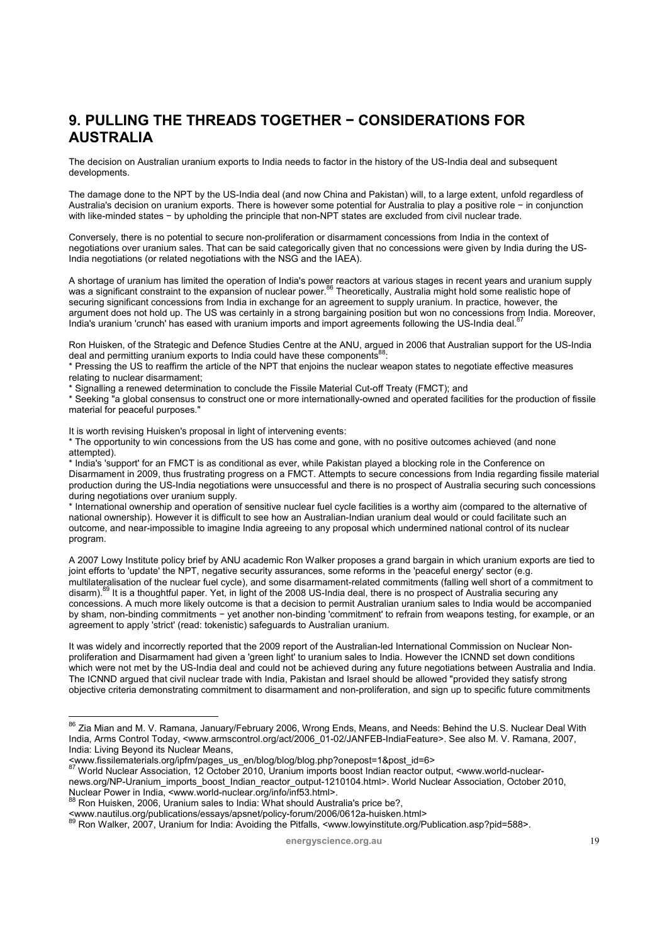# **9. PULLING THE THREADS TOGETHER − CONSIDERATIONS FOR AUSTRALIA**

The decision on Australian uranium exports to India needs to factor in the history of the US-India deal and subsequent developments.

The damage done to the NPT by the US-India deal (and now China and Pakistan) will, to a large extent, unfold regardless of Australia's decision on uranium exports. There is however some potential for Australia to play a positive role − in conjunction with like-minded states − by upholding the principle that non-NPT states are excluded from civil nuclear trade.

Conversely, there is no potential to secure non-proliferation or disarmament concessions from India in the context of negotiations over uranium sales. That can be said categorically given that no concessions were given by India during the US-India negotiations (or related negotiations with the NSG and the IAEA).

A shortage of uranium has limited the operation of India's power reactors at various stages in recent years and uranium supply<br>was a significant constraint to the expansion of nuclear power.<sup>86</sup> Theoretically, Australia mi securing significant concessions from India in exchange for an agreement to supply uranium. In practice, however, the argument does not hold up. The US was certainly in a strong bargaining position but won no concessions from India. Moreover, India's uranium 'crunch' has eased with uranium imports and import agreements following the US-India deal.<sup>8</sup>

Ron Huisken, of the Strategic and Defence Studies Centre at the ANU, argued in 2006 that Australian support for the US-India deal and permitting uranium exports to India could have these components<sup>88</sup>.

\* Pressing the US to reaffirm the article of the NPT that enjoins the nuclear weapon states to negotiate effective measures relating to nuclear disarmament;

\* Signalling a renewed determination to conclude the Fissile Material Cut-off Treaty (FMCT); and

\* Seeking "a global consensus to construct one or more internationally-owned and operated facilities for the production of fissile material for peaceful purposes."

It is worth revising Huisken's proposal in light of intervening events:

The opportunity to win concessions from the US has come and gone, with no positive outcomes achieved (and none attempted).

\* India's 'support' for an FMCT is as conditional as ever, while Pakistan played a blocking role in the Conference on Disarmament in 2009, thus frustrating progress on a FMCT. Attempts to secure concessions from India regarding fissile material production during the US-India negotiations were unsuccessful and there is no prospect of Australia securing such concessions during negotiations over uranium supply.

\* International ownership and operation of sensitive nuclear fuel cycle facilities is a worthy aim (compared to the alternative of national ownership). However it is difficult to see how an Australian-Indian uranium deal would or could facilitate such an outcome, and near-impossible to imagine India agreeing to any proposal which undermined national control of its nuclear program.

A 2007 Lowy Institute policy brief by ANU academic Ron Walker proposes a grand bargain in which uranium exports are tied to joint efforts to 'update' the NPT, negative security assurances, some reforms in the 'peaceful energy' sector (e.g. multilateralisation of the nuclear fuel cycle), and some disarmament-related commitments (falling well short of a commitment to disarm).<sup>89</sup> It is a thoughtful paper. Yet, in light of the 2008 US-India deal, there is no prospect of Australia securing any concessions. A much more likely outcome is that a decision to permit Australian uranium sales to India would be accompanied by sham, non-binding commitments − yet another non-binding 'commitment' to refrain from weapons testing, for example, or an agreement to apply 'strict' (read: tokenistic) safeguards to Australian uranium.

It was widely and incorrectly reported that the 2009 report of the Australian-led International Commission on Nuclear Nonproliferation and Disarmament had given a 'green light' to uranium sales to India. However the ICNND set down conditions which were not met by the US-India deal and could not be achieved during any future negotiations between Australia and India. The ICNND argued that civil nuclear trade with India, Pakistan and Israel should be allowed "provided they satisfy strong objective criteria demonstrating commitment to disarmament and non-proliferation, and sign up to specific future commitments

- <www.fissilematerials.org/ipfm/pages\_us\_en/blog/blog/blog.php?onepost=1&post\_id=6> 87 World Nuclear Association, 12 October 2010, Uranium imports boost Indian reactor output, <www.world-nuclearnews.org/NP-Uranium\_imports\_boost\_Indian\_reactor\_output-1210104.html>. World Nuclear Association, October 2010,<br>Nuclear Power in India, <www.world-nuclear.org/info/inf53.html>.
- 

 $^{86}$  Zia Mian and M. V. Ramana, January/February 2006, Wrong Ends, Means, and Needs: Behind the U.S. Nuclear Deal With India, Arms Control Today, <www.armscontrol.org/act/2006\_01-02/JANFEB-IndiaFeature>. See also M. V. Ramana, 2007, India: Living Beyond its Nuclear Means,<br><www.fissilematerials.org/ipfm/pages us en/blog/blog/blog.php?onepost=1&post id=6>

<sup>&</sup>lt;sup>88</sup> Ron Huisken, 2006, Uranium sales to India: What should Australia's price be?,<br><www.nautilus.org/publications/essays/apsnet/policy-forum/2006/0612a-huisken.html>

www.nautilus.org.publications/essays/approxipancy-forum-accessive computations/<br>89 Ron Walker, 2007, Uranium for India: Avoiding the Pitfalls, <www.lowyinstitute.org/Publication.asp?pid=588>.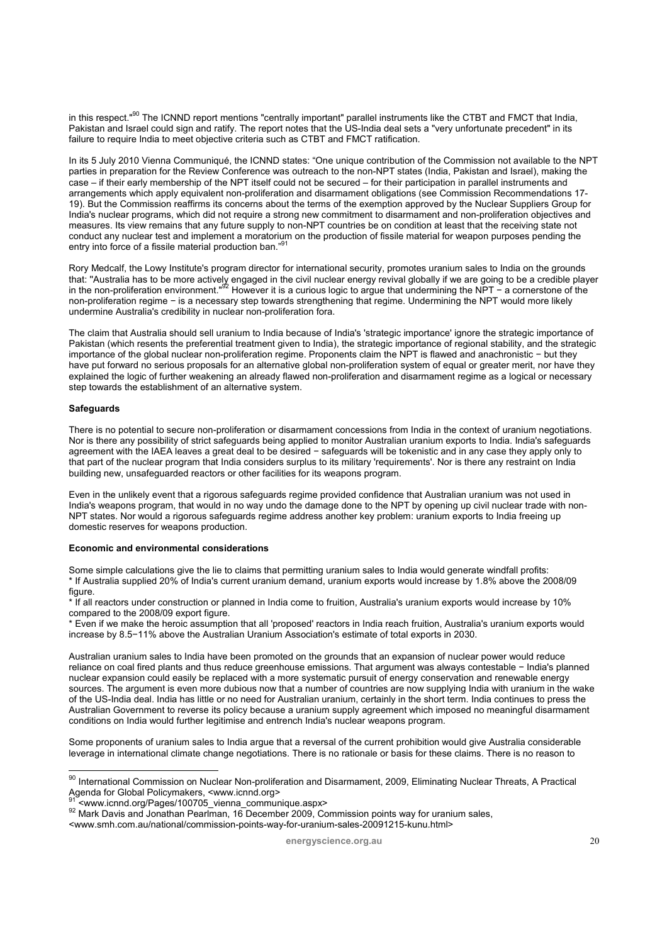in this respect."<sup>90</sup> The ICNND report mentions "centrally important" parallel instruments like the CTBT and FMCT that India, Pakistan and Israel could sign and ratify. The report notes that the US-India deal sets a "very unfortunate precedent" in its failure to require India to meet objective criteria such as CTBT and FMCT ratification.

In its 5 July 2010 Vienna Communiqué, the ICNND states: "One unique contribution of the Commission not available to the NPT parties in preparation for the Review Conference was outreach to the non-NPT states (India, Pakistan and Israel), making the case – if their early membership of the NPT itself could not be secured – for their participation in parallel instruments and arrangements which apply equivalent non-proliferation and disarmament obligations (see Commission Recommendations 17- 19). But the Commission reaffirms its concerns about the terms of the exemption approved by the Nuclear Suppliers Group for India's nuclear programs, which did not require a strong new commitment to disarmament and non-proliferation objectives and measures. Its view remains that any future supply to non-NPT countries be on condition at least that the receiving state not conduct any nuclear test and implement a moratorium on the production of fissile material for weapon purposes pending the entry into force of a fissile material production ban."

Rory Medcalf, the Lowy Institute's program director for international security, promotes uranium sales to India on the grounds that: "Australia has to be more actively engaged in the civil nuclear energy revival globally if we are going to be a credible player<br>in the non-proliferation environment."<sup>92</sup> However it is a curious logic to argue that u non-proliferation regime − is a necessary step towards strengthening that regime. Undermining the NPT would more likely undermine Australia's credibility in nuclear non-proliferation fora.

The claim that Australia should sell uranium to India because of India's 'strategic importance' ignore the strategic importance of Pakistan (which resents the preferential treatment given to India), the strategic importance of regional stability, and the strategic importance of the global nuclear non-proliferation regime. Proponents claim the NPT is flawed and anachronistic − but they have put forward no serious proposals for an alternative global non-proliferation system of equal or greater merit, nor have they explained the logic of further weakening an already flawed non-proliferation and disarmament regime as a logical or necessary step towards the establishment of an alternative system.

#### **Safeguards**

 $\overline{a}$ 

There is no potential to secure non-proliferation or disarmament concessions from India in the context of uranium negotiations. Nor is there any possibility of strict safeguards being applied to monitor Australian uranium exports to India. India's safeguards agreement with the IAEA leaves a great deal to be desired − safeguards will be tokenistic and in any case they apply only to that part of the nuclear program that India considers surplus to its military 'requirements'. Nor is there any restraint on India building new, unsafeguarded reactors or other facilities for its weapons program.

Even in the unlikely event that a rigorous safeguards regime provided confidence that Australian uranium was not used in India's weapons program, that would in no way undo the damage done to the NPT by opening up civil nuclear trade with non-NPT states. Nor would a rigorous safeguards regime address another key problem: uranium exports to India freeing up domestic reserves for weapons production.

#### **Economic and environmental considerations**

Some simple calculations give the lie to claims that permitting uranium sales to India would generate windfall profits: \* If Australia supplied 20% of India's current uranium demand, uranium exports would increase by 1.8% above the 2008/09 figure.

\* If all reactors under construction or planned in India come to fruition, Australia's uranium exports would increase by 10% compared to the 2008/09 export figure.

\* Even if we make the heroic assumption that all 'proposed' reactors in India reach fruition, Australia's uranium exports would increase by 8.5−11% above the Australian Uranium Association's estimate of total exports in 2030.

Australian uranium sales to India have been promoted on the grounds that an expansion of nuclear power would reduce reliance on coal fired plants and thus reduce greenhouse emissions. That argument was always contestable − India's planned nuclear expansion could easily be replaced with a more systematic pursuit of energy conservation and renewable energy sources. The argument is even more dubious now that a number of countries are now supplying India with uranium in the wake of the US-India deal. India has little or no need for Australian uranium, certainly in the short term. India continues to press the Australian Government to reverse its policy because a uranium supply agreement which imposed no meaningful disarmament conditions on India would further legitimise and entrench India's nuclear weapons program.

Some proponents of uranium sales to India argue that a reversal of the current prohibition would give Australia considerable leverage in international climate change negotiations. There is no rationale or basis for these claims. There is no reason to

 $90$  International Commission on Nuclear Non-proliferation and Disarmament, 2009, Eliminating Nuclear Threats, A Practical Agenda for Global Policymakers, <www.icnnd.org><br><sup>91</sup> <www.icnnd.org/Pages/100705 vienna communique.aspx>

<sup>92</sup> Mark Davis and Jonathan Pearlman, 16 December 2009, Commission points way for uranium sales,

<sup>&</sup>lt;www.smh.com.au/national/commission-points-way-for-uranium-sales-20091215-kunu.html>